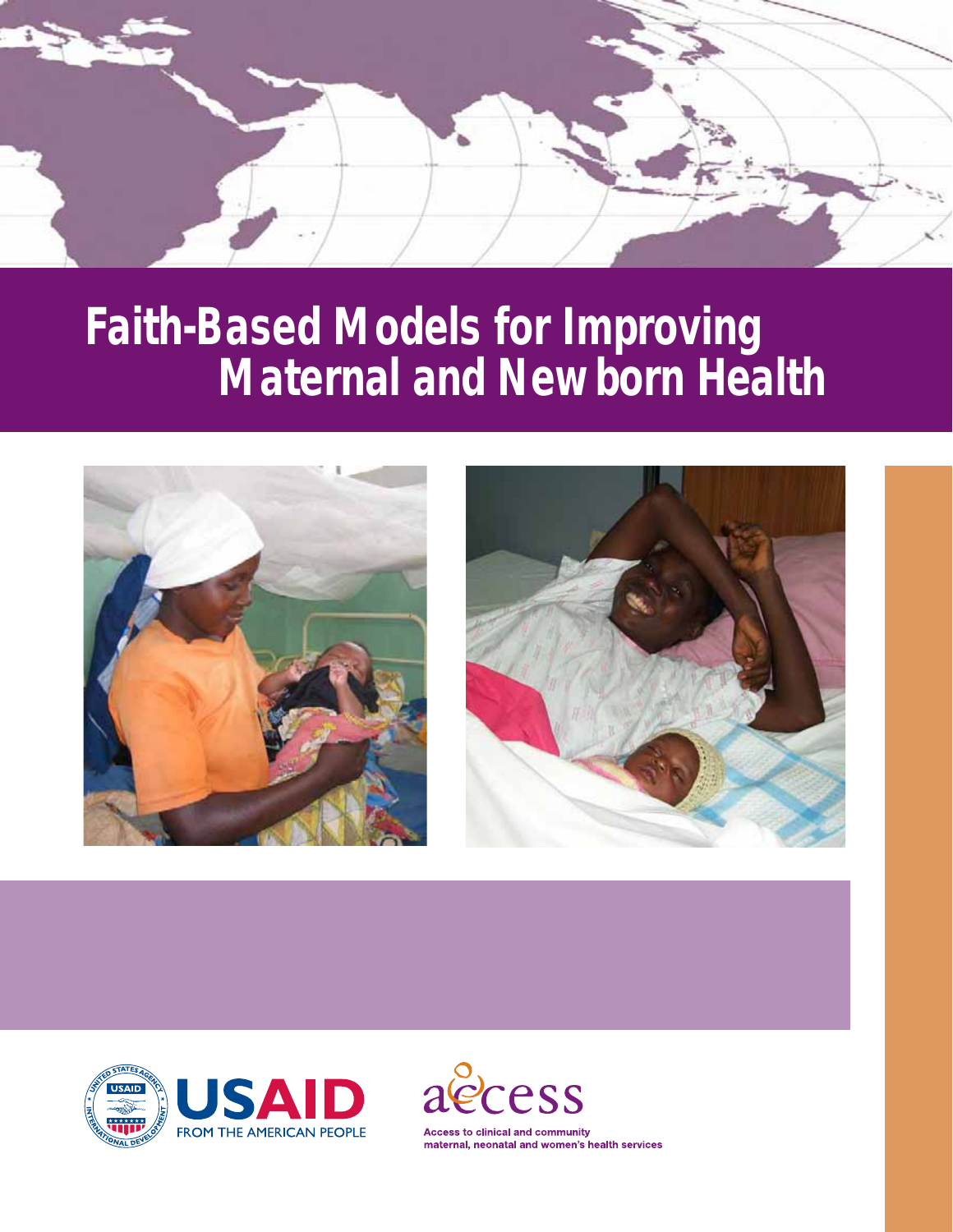

# *Faith-Based Models for Improving Maternal and Newborn Health*







**Access to clinical and community** maternal, neonatal and women's health services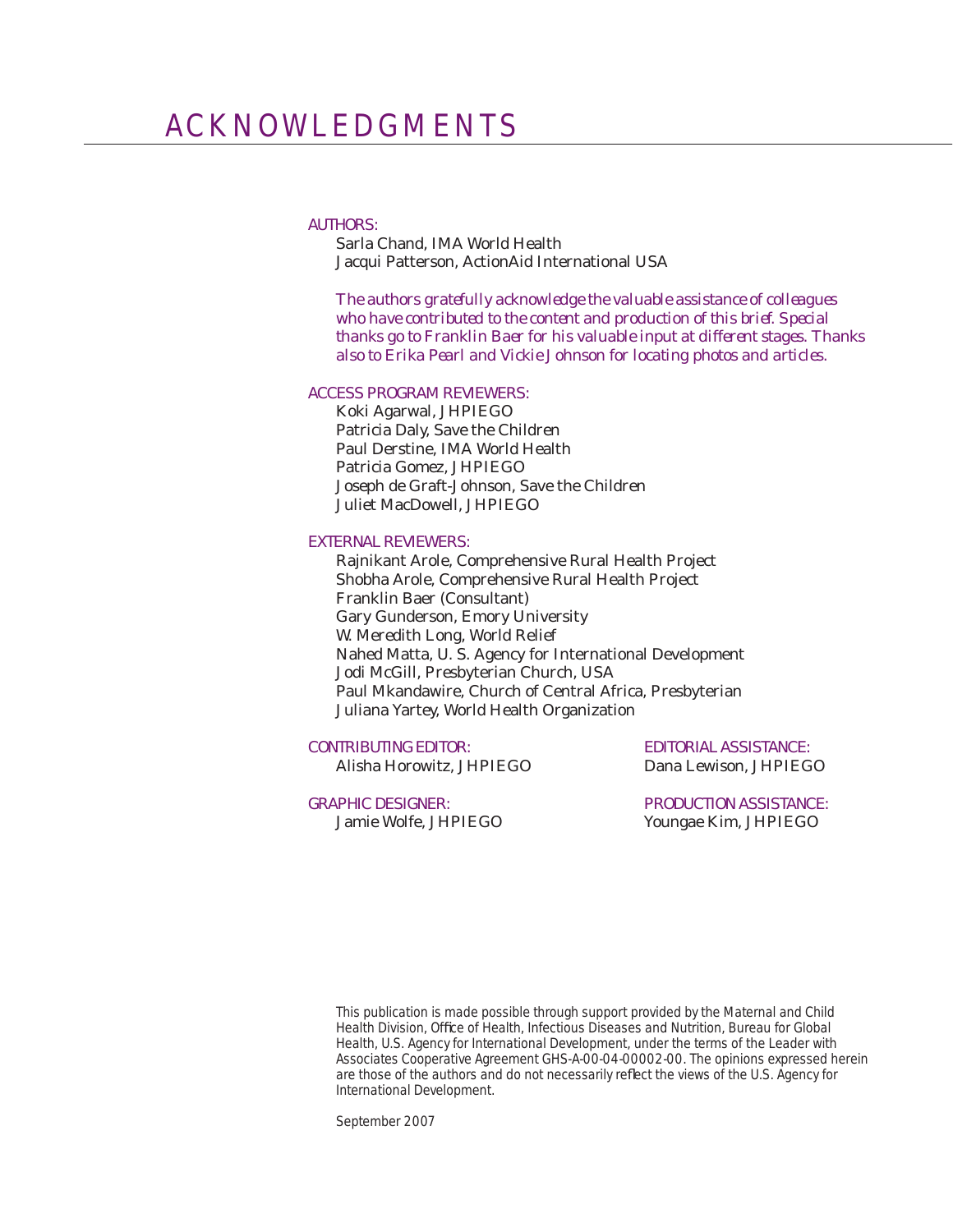#### AUTHORS:

Sarla Chand, IMA World Health Jacqui Patterson, ActionAid International USA

*The authors gratefully acknowledge the valuable assistance of colleagues who have contributed to the content and production of this brief. Special thanks go to Franklin Baer for his valuable input at different stages. Thanks also to Erika Pearl and Vickie Johnson for locating photos and articles.*

#### ACCESS PROGRAM REVIEWERS:

Koki Agarwal, JHPIEGO Patricia Daly, Save the Children Paul Derstine, IMA World Health Patricia Gomez, JHPIEGO Joseph de Graft-Johnson, Save the Children Juliet MacDowell, JHPIEGO

#### EXTERNAL REVIEWERS:

Rajnikant Arole, Comprehensive Rural Health Project Shobha Arole, Comprehensive Rural Health Project Franklin Baer (Consultant) Gary Gunderson, Emory University W. Meredith Long, World Relief Nahed Matta, U. S. Agency for International Development Jodi McGill, Presbyterian Church, USA Paul Mkandawire, Church of Central Africa, Presbyterian Juliana Yartey, World Health Organization

#### CONTRIBUTING EDITOR: EDITORIAL ASSISTANCE:

Alisha Horowitz, JHPIEGO Dana Lewison, JHPIEGO

GRAPHIC DESIGNER: PRODUCTION ASSISTANCE: Jamie Wolfe, JHPIEGO Youngae Kim, JHPIEGO

This publication is made possible through support provided by the Maternal and Child Health Division, Office of Health, Infectious Diseases and Nutrition, Bureau for Global Health, U.S. Agency for International Development, under the terms of the Leader with Associates Cooperative Agreement GHS-A-00-04-00002-00. The opinions expressed herein are those of the authors and do not necessarily reflect the views of the U.S. Agency for International Development.

September 2007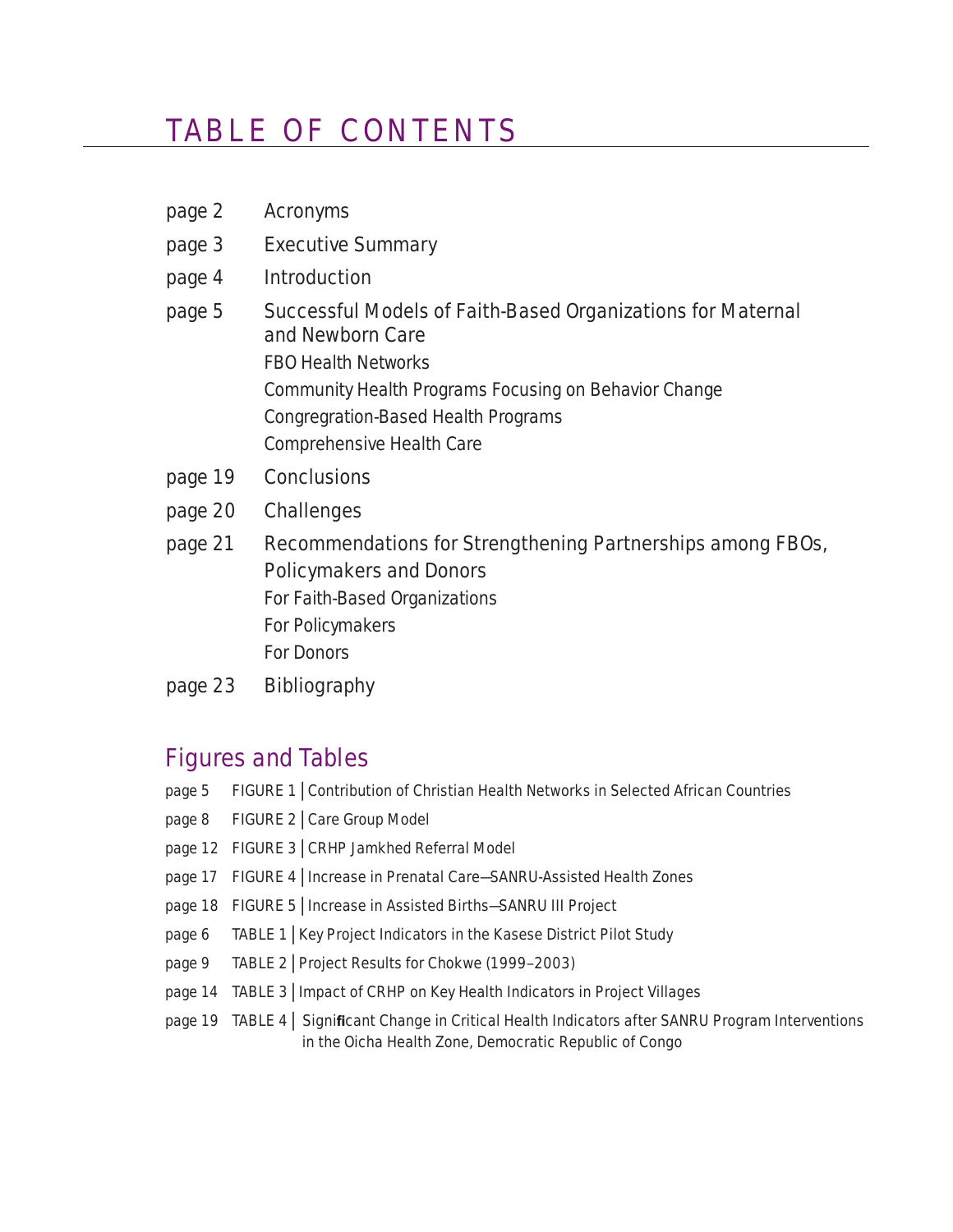## TABLE OF CONTENTS

page 2 Acronyme

| µay∈ ∠  | <b>AUDITION</b>                                                                              |
|---------|----------------------------------------------------------------------------------------------|
| page 3  | <b>Executive Summary</b>                                                                     |
| page 4  | <b>Introduction</b>                                                                          |
| page 5  | Successful Models of Faith-Based Organizations for Maternal<br>and Newborn Care              |
|         | <b>FBO Health Networks</b>                                                                   |
|         | Community Health Programs Focusing on Behavior Change                                        |
|         | Congregration-Based Health Programs                                                          |
|         | Comprehensive Health Care                                                                    |
| page 19 | <b>Conclusions</b>                                                                           |
| page 20 | <b>Challenges</b>                                                                            |
| page 21 | Recommendations for Strengthening Partnerships among FBOs,<br><b>Policymakers and Donors</b> |

 For Faith-Based Organizations For Policymakers For Donors

page 23 Bibliography

## Figures and Tables

- page 5 FIGURE 1 | Contribution of Christian Health Networks in Selected African Countries
- page 8 FIGURE 2 | Care Group Model
- page 12 FIGURE 3 | CRHP Jamkhed Referral Model
- page 17 FIGURE 4 | Increase in Prenatal Care-SANRU-Assisted Health Zones
- page 18 FIGURE 5 | Increase in Assisted Births-SANRU III Project
- page 6 TABLE 1 | Key Project Indicators in the Kasese District Pilot Study
- page 9 TABLE 2 | Project Results for Chokwe (1999–2003)
- page 14 TABLE 3 | Impact of CRHP on Key Health Indicators in Project Villages
- page 19 TABLE 4 | Significant Change in Critical Health Indicators after SANRU Program Interventions in the Oicha Health Zone, Democratic Republic of Congo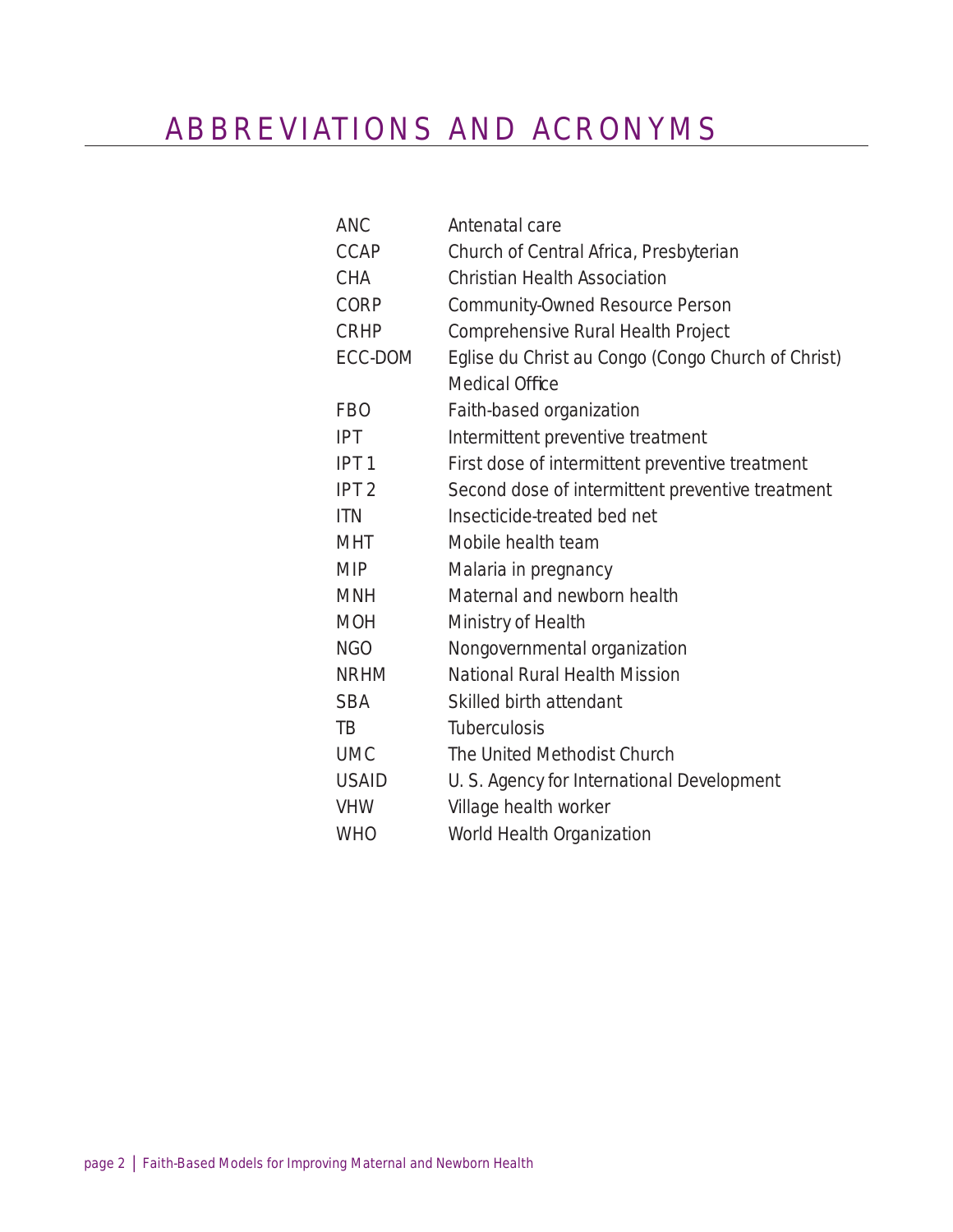## ABBREVIATIONS AND ACRONYMS

| <b>ANC</b>       | Antenatal care                                     |
|------------------|----------------------------------------------------|
| <b>CCAP</b>      | Church of Central Africa, Presbyterian             |
| <b>CHA</b>       | <b>Christian Health Association</b>                |
| <b>CORP</b>      | Community-Owned Resource Person                    |
| <b>CRHP</b>      | Comprehensive Rural Health Project                 |
| <b>ECC-DOM</b>   | Eglise du Christ au Congo (Congo Church of Christ) |
|                  | <b>Medical Office</b>                              |
| <b>FBO</b>       | Faith-based organization                           |
| <b>IPT</b>       | Intermittent preventive treatment                  |
| IPT <sub>1</sub> | First dose of intermittent preventive treatment    |
| IPT <sub>2</sub> | Second dose of intermittent preventive treatment   |
| <b>ITN</b>       | Insecticide-treated bed net                        |
| <b>MHT</b>       | Mobile health team                                 |
| <b>MIP</b>       | Malaria in pregnancy                               |
| <b>MNH</b>       | Maternal and newborn health                        |
| <b>MOH</b>       | Ministry of Health                                 |
| <b>NGO</b>       | Nongovernmental organization                       |
| <b>NRHM</b>      | National Rural Health Mission                      |
| <b>SBA</b>       | Skilled birth attendant                            |
| TB               | <b>Tuberculosis</b>                                |
| <b>UMC</b>       | The United Methodist Church                        |
| <b>USAID</b>     | U. S. Agency for International Development         |
| <b>VHW</b>       | Village health worker                              |
| <b>WHO</b>       | World Health Organization                          |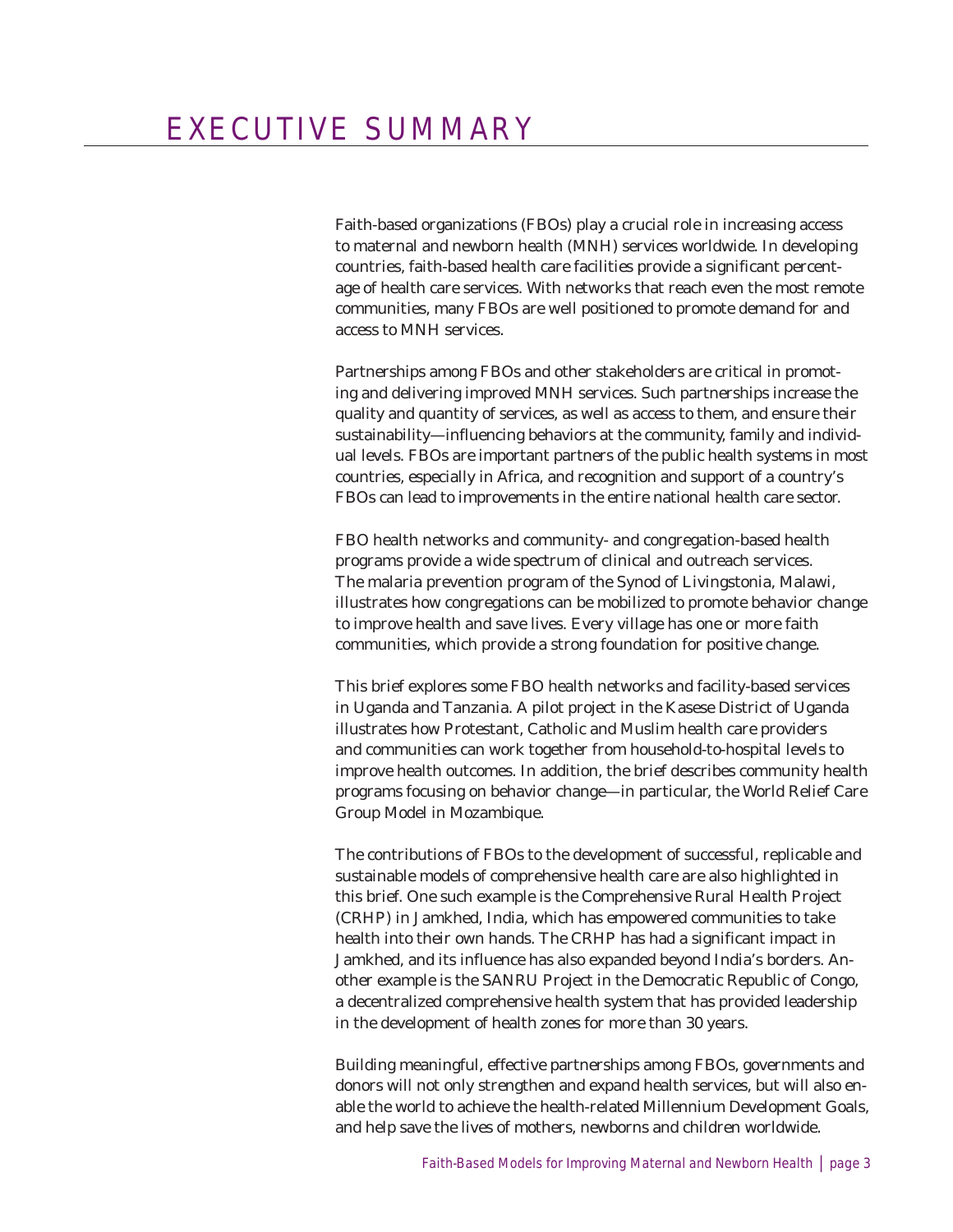Faith-based organizations (FBOs) play a crucial role in increasing access to maternal and newborn health (MNH) services worldwide. In developing countries, faith-based health care facilities provide a significant percentage of health care services. With networks that reach even the most remote communities, many FBOs are well positioned to promote demand for and access to MNH services.

Partnerships among FBOs and other stakeholders are critical in promoting and delivering improved MNH services. Such partnerships increase the quality and quantity of services, as well as access to them, and ensure their sustainability—influencing behaviors at the community, family and individual levels. FBOs are important partners of the public health systems in most countries, especially in Africa, and recognition and support of a country's FBOs can lead to improvements in the entire national health care sector.

FBO health networks and community- and congregation-based health programs provide a wide spectrum of clinical and outreach services. The malaria prevention program of the Synod of Livingstonia, Malawi, illustrates how congregations can be mobilized to promote behavior change to improve health and save lives. Every village has one or more faith communities, which provide a strong foundation for positive change.

This brief explores some FBO health networks and facility-based services in Uganda and Tanzania. A pilot project in the Kasese District of Uganda illustrates how Protestant, Catholic and Muslim health care providers and communities can work together from household-to-hospital levels to improve health outcomes. In addition, the brief describes community health programs focusing on behavior change—in particular, the World Relief Care Group Model in Mozambique.

The contributions of FBOs to the development of successful, replicable and sustainable models of comprehensive health care are also highlighted in this brief. One such example is the Comprehensive Rural Health Project (CRHP) in Jamkhed, India, which has empowered communities to take health into their own hands. The CRHP has had a significant impact in Jamkhed, and its influence has also expanded beyond India's borders. Another example is the SANRU Project in the Democratic Republic of Congo, a decentralized comprehensive health system that has provided leadership in the development of health zones for more than 30 years.

Building meaningful, effective partnerships among FBOs, governments and donors will not only strengthen and expand health services, but will also enable the world to achieve the health-related Millennium Development Goals, and help save the lives of mothers, newborns and children worldwide.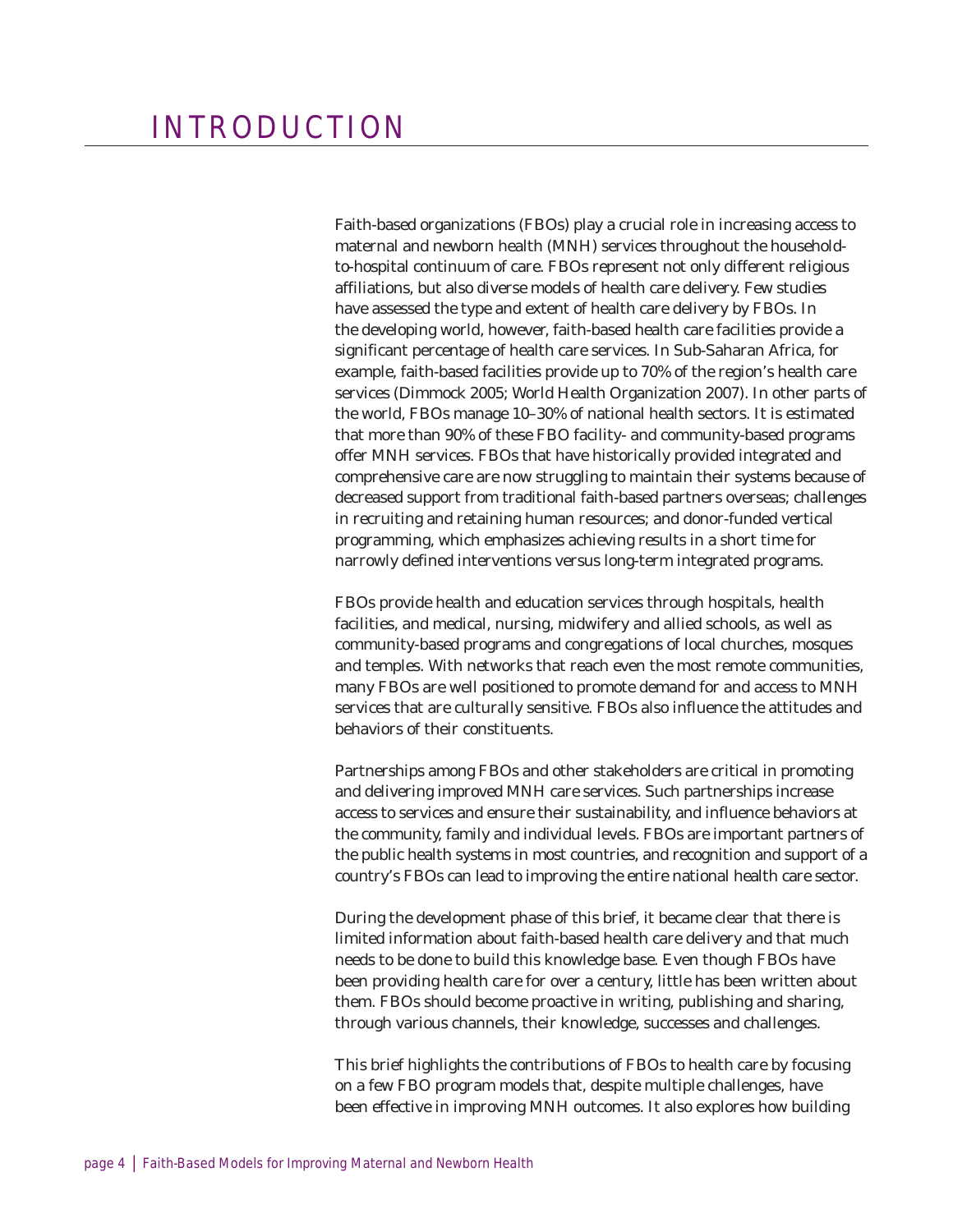Faith-based organizations (FBOs) play a crucial role in increasing access to maternal and newborn health (MNH) services throughout the householdto-hospital continuum of care. FBOs represent not only different religious affiliations, but also diverse models of health care delivery. Few studies have assessed the type and extent of health care delivery by FBOs. In the developing world, however, faith-based health care facilities provide a significant percentage of health care services. In Sub-Saharan Africa, for example, faith-based facilities provide up to 70% of the region's health care services (Dimmock 2005; World Health Organization 2007). In other parts of the world, FBOs manage 10–30% of national health sectors. It is estimated that more than 90% of these FBO facility- and community-based programs offer MNH services. FBOs that have historically provided integrated and comprehensive care are now struggling to maintain their systems because of decreased support from traditional faith-based partners overseas; challenges in recruiting and retaining human resources; and donor-funded vertical programming, which emphasizes achieving results in a short time for narrowly defined interventions versus long-term integrated programs.

FBOs provide health and education services through hospitals, health facilities, and medical, nursing, midwifery and allied schools, as well as community-based programs and congregations of local churches, mosques and temples. With networks that reach even the most remote communities, many FBOs are well positioned to promote demand for and access to MNH services that are culturally sensitive. FBOs also influence the attitudes and behaviors of their constituents.

Partnerships among FBOs and other stakeholders are critical in promoting and delivering improved MNH care services. Such partnerships increase access to services and ensure their sustainability, and influence behaviors at the community, family and individual levels. FBOs are important partners of the public health systems in most countries, and recognition and support of a country's FBOs can lead to improving the entire national health care sector.

During the development phase of this brief, it became clear that there is limited information about faith-based health care delivery and that much needs to be done to build this knowledge base. Even though FBOs have been providing health care for over a century, little has been written about them. FBOs should become proactive in writing, publishing and sharing, through various channels, their knowledge, successes and challenges.

This brief highlights the contributions of FBOs to health care by focusing on a few FBO program models that, despite multiple challenges, have been effective in improving MNH outcomes. It also explores how building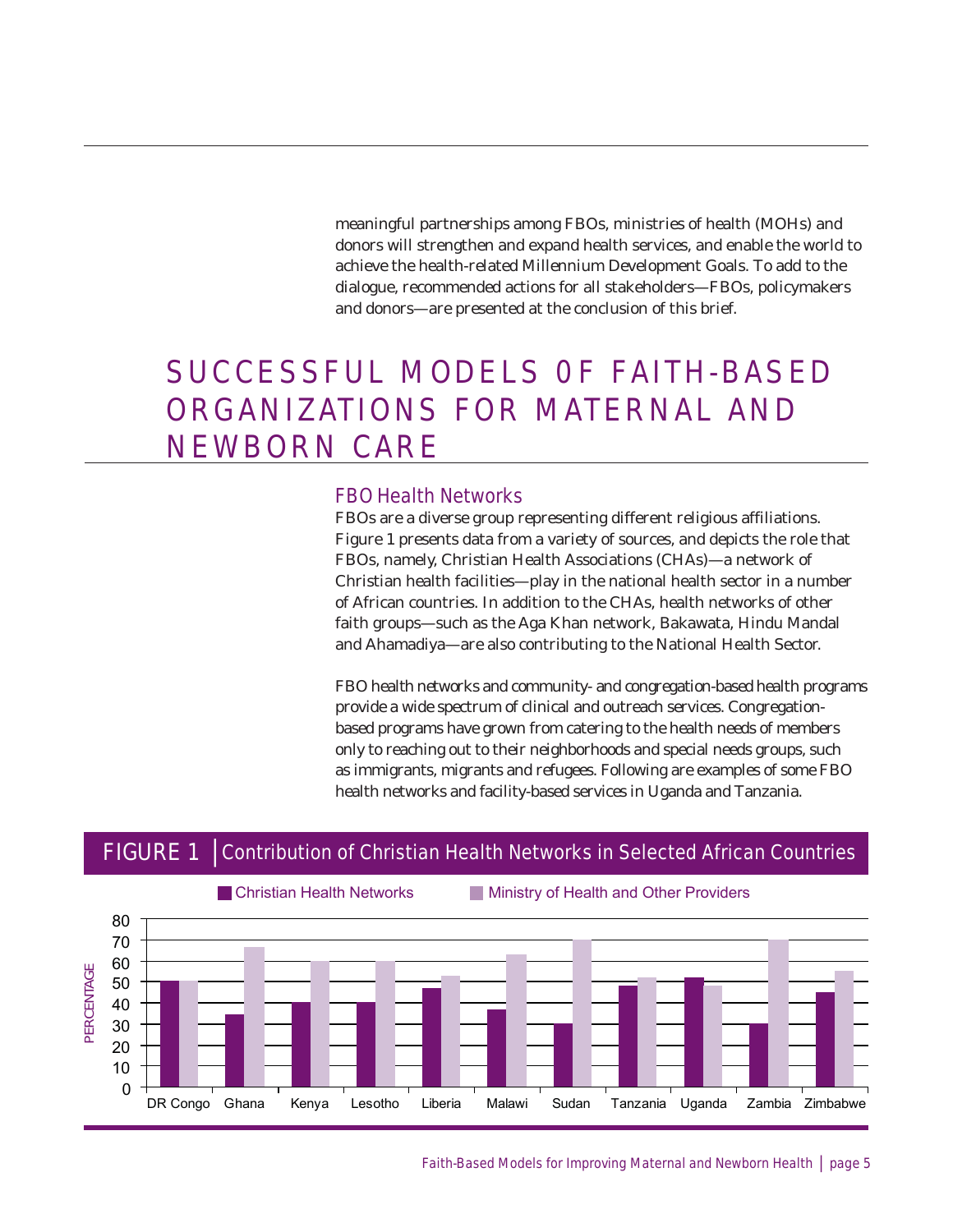meaningful partnerships among FBOs, ministries of health (MOHs) and donors will strengthen and expand health services, and enable the world to achieve the health-related Millennium Development Goals. To add to the dialogue, recommended actions for all stakeholders—FBOs, policymakers and donors—are presented at the conclusion of this brief.

## SUCCESSFUL MODELS OF FAITH-BASED ORGANIZATIONS FOR MATERNAL AND NEWBORN CARE

#### FBO Health Networks

FBOs are a diverse group representing different religious affiliations. Figure 1 presents data from a variety of sources, and depicts the role that FBOs, namely, Christian Health Associations (CHAs)—a network of Christian health facilities—play in the national health sector in a number of African countries. In addition to the CHAs, health networks of other faith groups-such as the Aga Khan network, Bakawata, Hindu Mandal and Ahamadiya—are also contributing to the National Health Sector.

FBO health networks and community- and congregation-based health programs provide a wide spectrum of clinical and outreach services. Congregationbased programs have grown from catering to the health needs of members only to reaching out to their neighborhoods and special needs groups, such as immigrants, migrants and refugees. Following are examples of some FBO health networks and facility-based services in Uganda and Tanzania.

### FIGURE 1 | Contribution of Christian Health Networks in Selected African Countries



Faith-Based Models for Improving Maternal and Newborn Health | page 5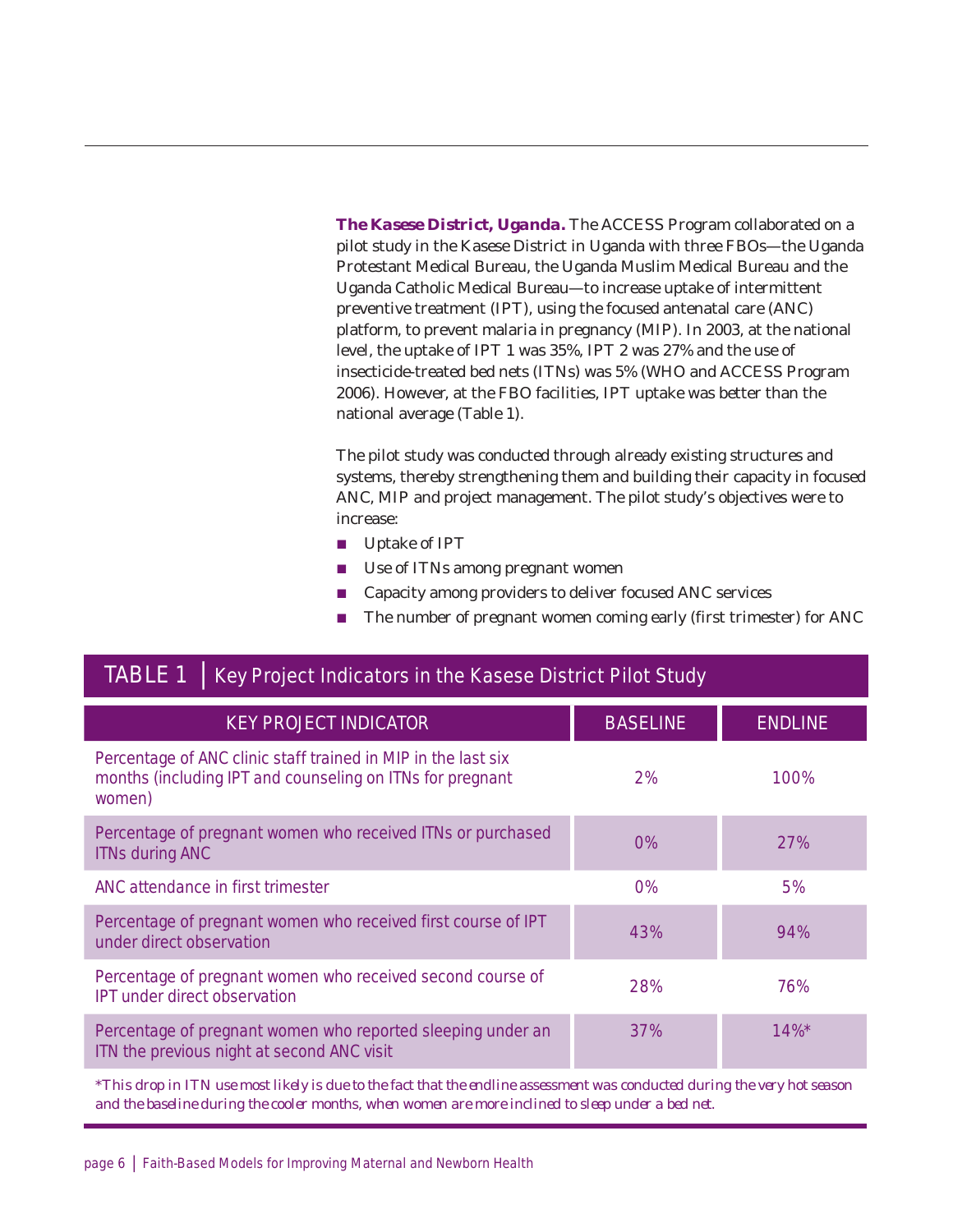*The Kasese District, Uganda.* The ACCESS Program collaborated on a pilot study in the Kasese District in Uganda with three FBOs—the Uganda Protestant Medical Bureau, the Uganda Muslim Medical Bureau and the Uganda Catholic Medical Bureau—to increase uptake of intermittent preventive treatment (IPT), using the focused antenatal care (ANC) platform, to prevent malaria in pregnancy (MIP). In 2003, at the national level, the uptake of IPT 1 was 35%, IPT 2 was 27% and the use of insecticide-treated bed nets (ITNs) was 5% (WHO and ACCESS Program 2006). However, at the FBO facilities, IPT uptake was better than the national average (Table 1).

The pilot study was conducted through already existing structures and systems, thereby strengthening them and building their capacity in focused ANC, MIP and project management. The pilot study's objectives were to increase:

- $\blacksquare$  Uptake of IPT
- $\blacksquare$  Use of ITNs among pregnant women
- Capacity among providers to deliver focused ANC services
- $\blacksquare$  The number of pregnant women coming early (first trimester) for ANC

### TABLE 1 | Key Project Indicators in the Kasese District Pilot Study

| <b>KEY PROJECT INDICATOR</b>                                                                                                         | <b>BASELINE</b> | <b>ENDLINE</b> |
|--------------------------------------------------------------------------------------------------------------------------------------|-----------------|----------------|
| Percentage of ANC clinic staff trained in MIP in the last six<br>months (including IPT and counseling on ITNs for pregnant<br>women) | 2%              | 100%           |
| Percentage of pregnant women who received ITNs or purchased<br><b>ITNs during ANC</b>                                                | $0\%$           | 27%            |
| ANC attendance in first trimester                                                                                                    | $0\%$           | 5%             |
| Percentage of pregnant women who received first course of IPT<br>under direct observation                                            | 43%             | 94%            |
| Percentage of pregnant women who received second course of<br><b>IPT</b> under direct observation                                    | 28%             | 76%            |
| Percentage of pregnant women who reported sleeping under an<br>ITN the previous night at second ANC visit                            | 37%             | $14\%*$        |

*\*This drop in ITN use most likely is due to the fact that the endline assessment was conducted during the very hot season and the baseline during the cooler months, when women are more inclined to sleep under a bed net.*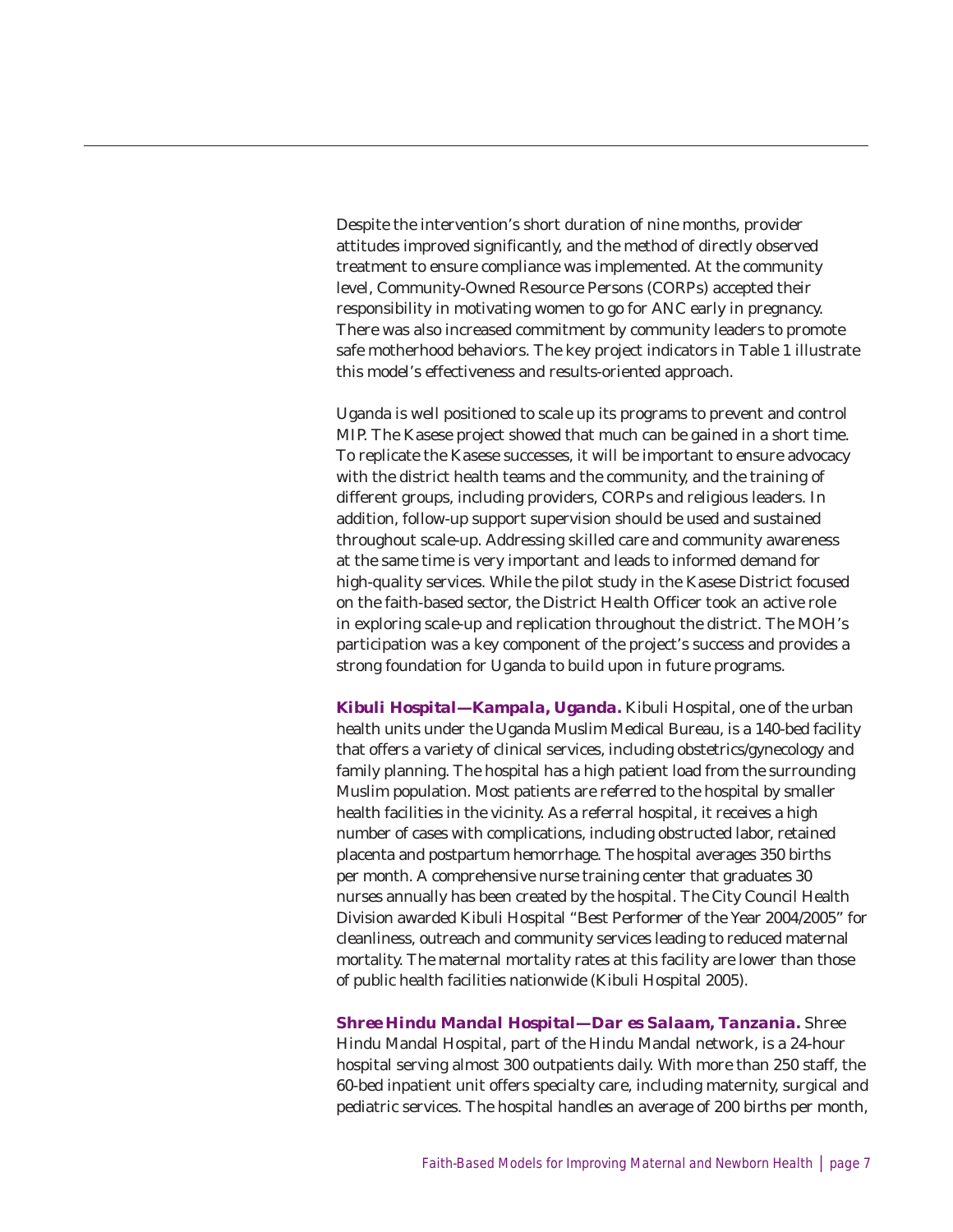Despite the intervention's short duration of nine months, provider attitudes improved significantly, and the method of directly observed treatment to ensure compliance was implemented. At the community level, Community-Owned Resource Persons (CORPs) accepted their responsibility in motivating women to go for ANC early in pregnancy. There was also increased commitment by community leaders to promote safe motherhood behaviors. The key project indicators in Table 1 illustrate this model's effectiveness and results-oriented approach.

Uganda is well positioned to scale up its programs to prevent and control MIP. The Kasese project showed that much can be gained in a short time. To replicate the Kasese successes, it will be important to ensure advocacy with the district health teams and the community, and the training of different groups, including providers, CORPs and religious leaders. In addition, follow-up support supervision should be used and sustained throughout scale-up. Addressing skilled care and community awareness at the same time is very important and leads to informed demand for high-quality services. While the pilot study in the Kasese District focused on the faith-based sector, the District Health Officer took an active role in exploring scale-up and replication throughout the district. The MOH's participation was a key component of the project's success and provides a strong foundation for Uganda to build upon in future programs.

*Kibuli Hospital—Kampala, Uganda.* Kibuli Hospital, one of the urban health units under the Uganda Muslim Medical Bureau, is a 140-bed facility that offers a variety of clinical services, including obstetrics/gynecology and family planning. The hospital has a high patient load from the surrounding Muslim population. Most patients are referred to the hospital by smaller health facilities in the vicinity. As a referral hospital, it receives a high number of cases with complications, including obstructed labor, retained placenta and postpartum hemorrhage. The hospital averages 350 births per month. A comprehensive nurse training center that graduates 30 nurses annually has been created by the hospital. The City Council Health Division awarded Kibuli Hospital "Best Performer of the Year 2004/2005" for cleanliness, outreach and community services leading to reduced maternal mortality. The maternal mortality rates at this facility are lower than those of public health facilities nationwide (Kibuli Hospital 2005).

*Shree Hindu Mandal Hospital—Dar es Salaam, Tanzania.* Shree Hindu Mandal Hospital, part of the Hindu Mandal network, is a 24-hour hospital serving almost 300 outpatients daily. With more than 250 staff, the 60-bed inpatient unit offers specialty care, including maternity, surgical and pediatric services. The hospital handles an average of 200 births per month,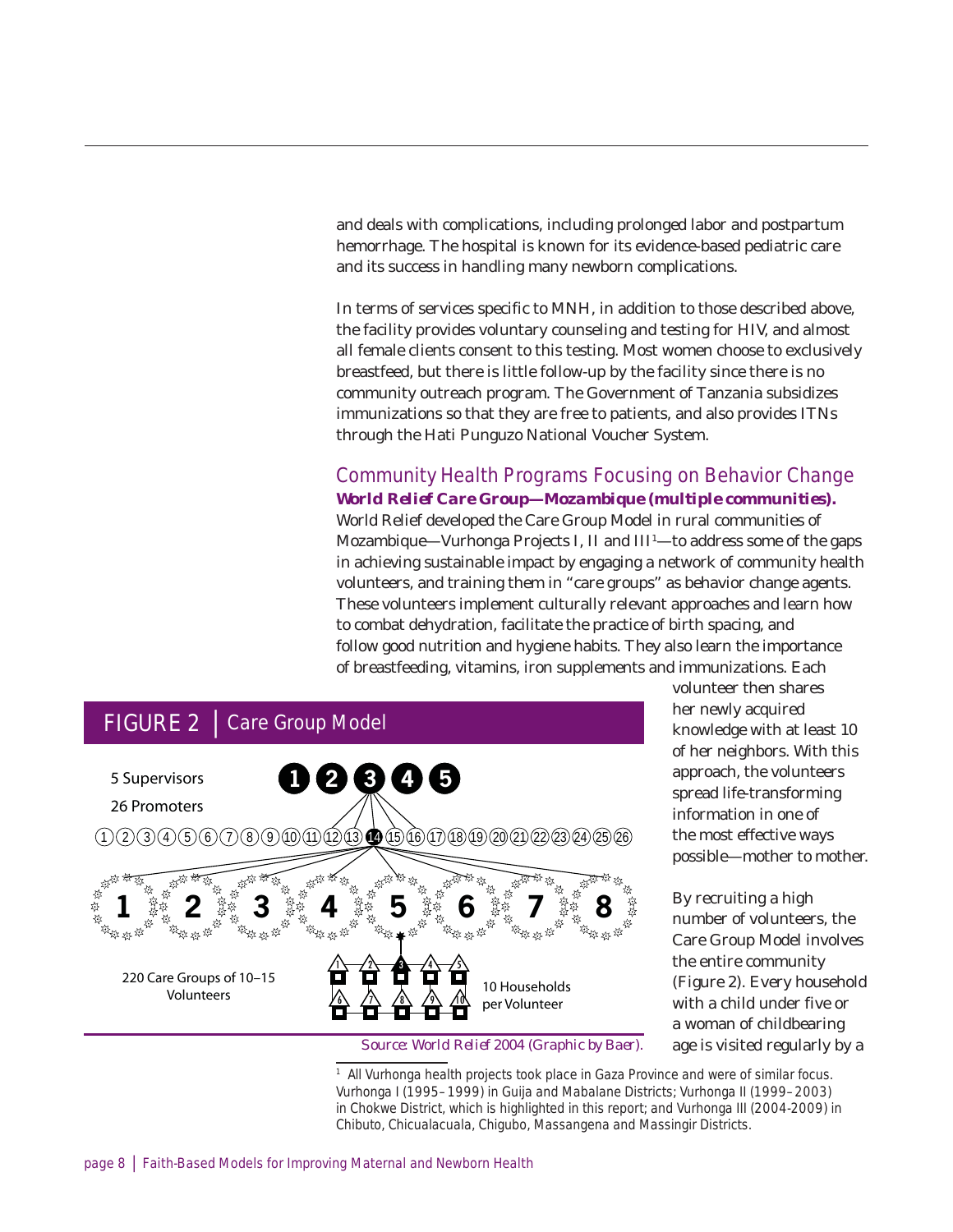and deals with complications, including prolonged labor and postpartum hemorrhage. The hospital is known for its evidence-based pediatric care and its success in handling many newborn complications.

In terms of services specific to MNH, in addition to those described above, the facility provides voluntary counseling and testing for HIV, and almost all female clients consent to this testing. Most women choose to exclusively breastfeed, but there is little follow-up by the facility since there is no community outreach program. The Government of Tanzania subsidizes immunizations so that they are free to patients, and also provides ITNs through the Hati Punguzo National Voucher System.

### Community Health Programs Focusing on Behavior Change *World Relief Care Group—Mozambique (multiple communities).*

World Relief developed the Care Group Model in rural communities of Mozambique—Vurhonga Projects I, II and III<sup>1</sup>—to address some of the gaps in achieving sustainable impact by engaging a network of community health volunteers, and training them in "care groups" as behavior change agents. These volunteers implement culturally relevant approaches and learn how to combat dehydration, facilitate the practice of birth spacing, and follow good nutrition and hygiene habits. They also learn the importance of breastfeeding, vitamins, iron supplements and immunizations. Each



volunteer then shares her newly acquired knowledge with at least 10 of her neighbors. With this approach, the volunteers spread life-transforming information in one of the most effective ways possible—mother to mother.

By recruiting a high number of volunteers, the Care Group Model involves the entire community (Figure 2). Every household with a child under five or a woman of childbearing age is visited regularly by a

*Source: World Relief 2004 (Graphic by Baer).*

<sup>1</sup> All Vurhonga health projects took place in Gaza Province and were of similar focus. Vurhonga I (1995–1999) in Guija and Mabalane Districts; Vurhonga II (1999–2003) in Chokwe District, which is highlighted in this report; and Vurhonga III (2004-2009) in Chibuto, Chicualacuala, Chigubo, Massangena and Massingir Districts.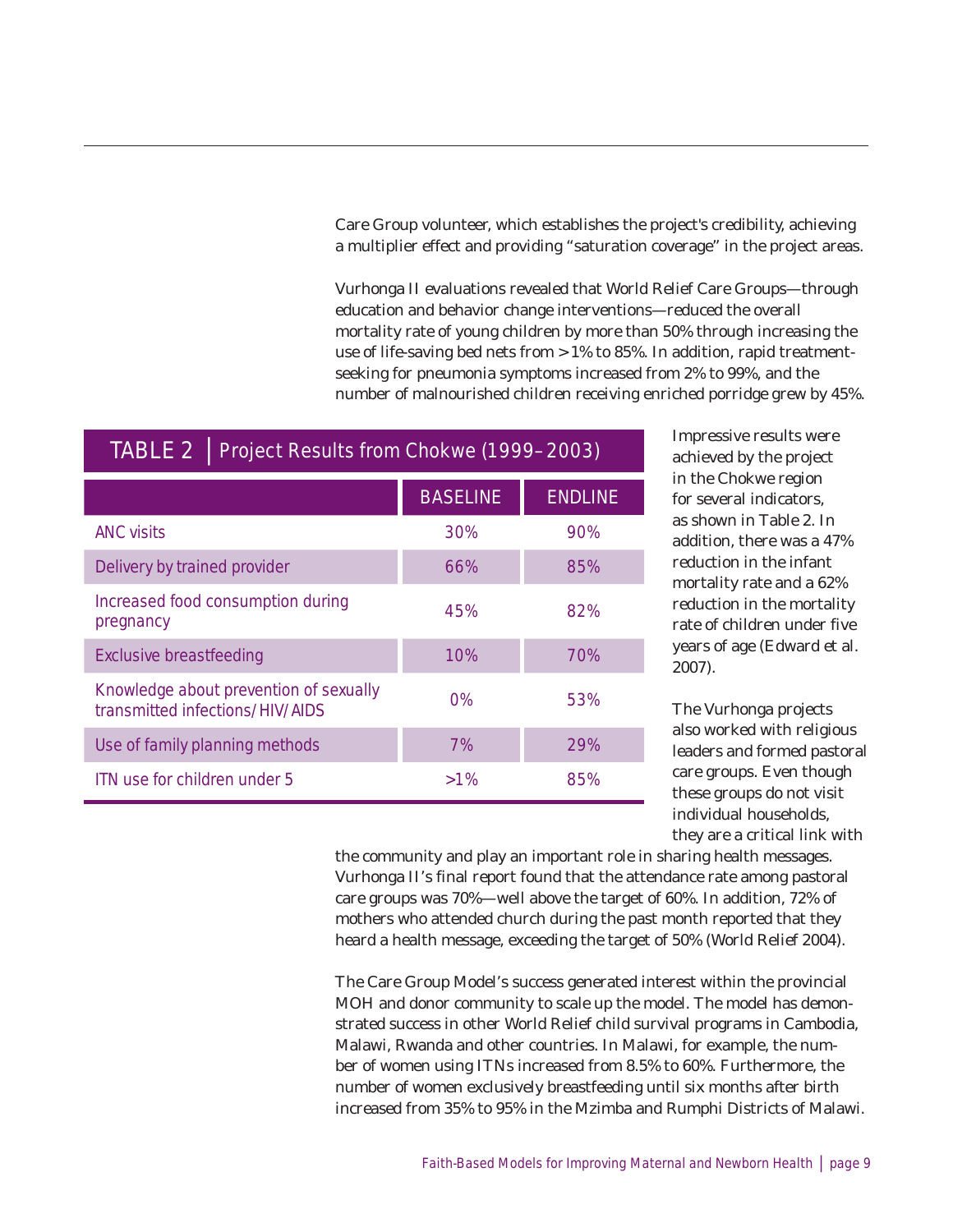Care Group volunteer, which establishes the project's credibility, achieving a multiplier effect and providing "saturation coverage" in the project areas.

Vurhonga II evaluations revealed that World Relief Care Groups—through education and behavior change interventions—reduced the overall mortality rate of young children by more than 50% through increasing the use of life-saving bed nets from >1% to 85%. In addition, rapid treatmentseeking for pneumonia symptoms increased from 2% to 99%, and the number of malnourished children receiving enriched porridge grew by 45%.

### TABLE 2 | Project Results from Chokwe (1999–2003)

|                                                                           | <b>BASELINE</b> | <b>ENDLINE</b> |
|---------------------------------------------------------------------------|-----------------|----------------|
| <b>ANC visits</b>                                                         | 30%             | 90%            |
| Delivery by trained provider                                              | 66%             | 85%            |
| Increased food consumption during<br>pregnancy                            | 45%             | 82%            |
| Exclusive breastfeeding                                                   | 10%             | 70%            |
| Knowledge about prevention of sexually<br>transmitted infections/HIV/AIDS | $0\%$           | 53%            |
| Use of family planning methods                                            | 7%              | 29%            |
| ITN use for children under 5                                              | $>1\%$          | 85%            |

Impressive results were achieved by the project in the Chokwe region for several indicators, as shown in Table 2. In addition, there was a 47% reduction in the infant mortality rate and a 62% reduction in the mortality rate of children under five years of age (Edward et al. 2007).

The Vurhonga projects also worked with religious leaders and formed pastoral care groups. Even though these groups do not visit individual households, they are a critical link with

the community and play an important role in sharing health messages. Vurhonga II's final report found that the attendance rate among pastoral care groups was 70%—well above the target of 60%. In addition, 72% of mothers who attended church during the past month reported that they heard a health message, exceeding the target of 50% (World Relief 2004).

The Care Group Model's success generated interest within the provincial MOH and donor community to scale up the model. The model has demonstrated success in other World Relief child survival programs in Cambodia, Malawi, Rwanda and other countries. In Malawi, for example, the number of women using ITNs increased from 8.5% to 60%. Furthermore, the number of women exclusively breastfeeding until six months after birth increased from 35% to 95% in the Mzimba and Rumphi Districts of Malawi.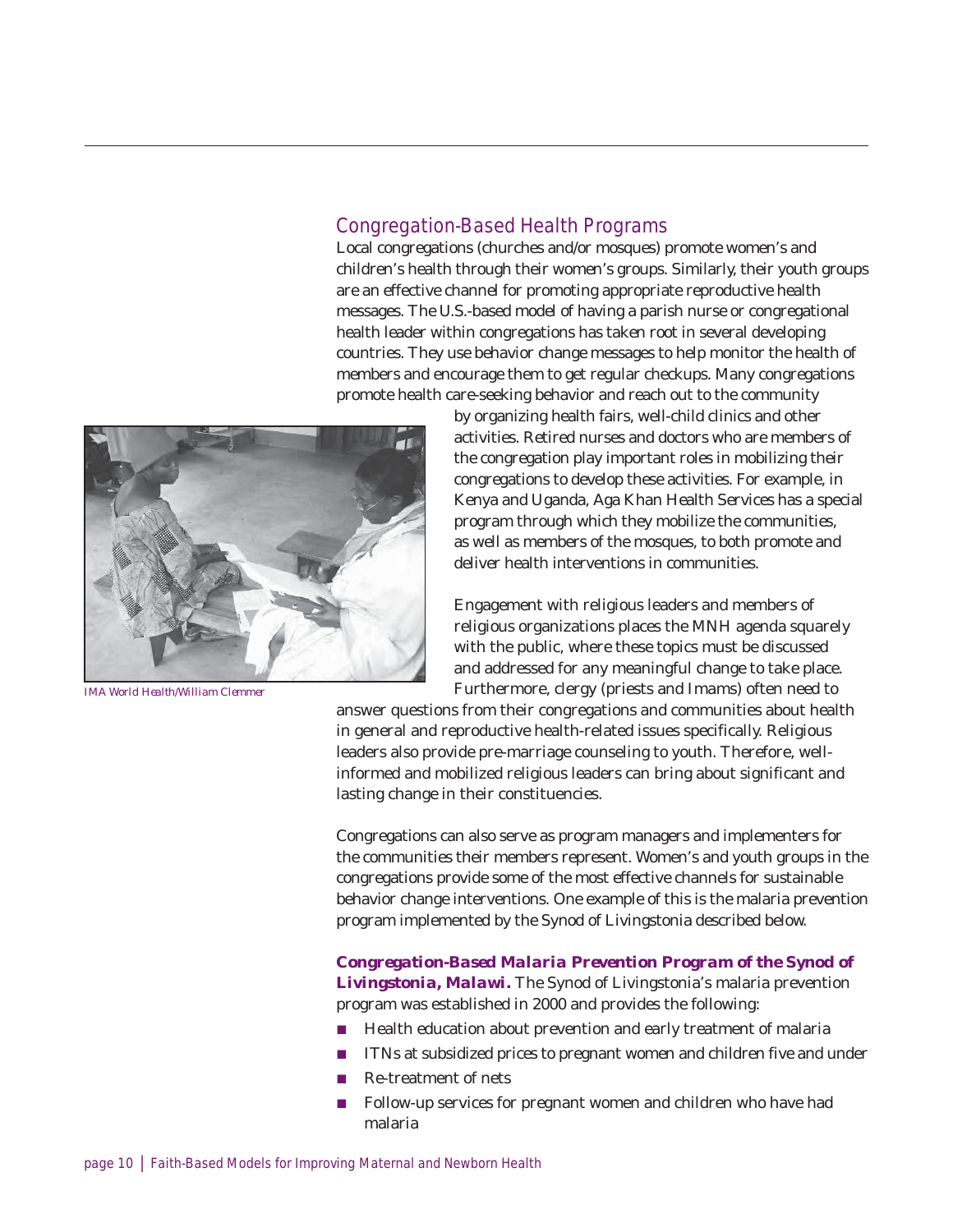### Congregation-Based Health Programs

Local congregations (churches and/or mosques) promote women's and children's health through their women's groups. Similarly, their youth groups are an effective channel for promoting appropriate reproductive health messages. The U.S.-based model of having a parish nurse or congregational health leader within congregations has taken root in several developing countries. They use behavior change messages to help monitor the health of members and encourage them to get regular checkups. Many congregations promote health care-seeking behavior and reach out to the community



*IMA World Health/William Clemmer*

by organizing health fairs, well-child clinics and other activities. Retired nurses and doctors who are members of the congregation play important roles in mobilizing their congregations to develop these activities. For example, in Kenya and Uganda, Aga Khan Health Services has a special program through which they mobilize the communities, as well as members of the mosques, to both promote and deliver health interventions in communities.

Engagement with religious leaders and members of religious organizations places the MNH agenda squarely with the public, where these topics must be discussed and addressed for any meaningful change to take place. Furthermore, clergy (priests and *Imams*) often need to

answer questions from their congregations and communities about health in general and reproductive health-related issues specifically. Religious leaders also provide pre-marriage counseling to youth. Therefore, wellinformed and mobilized religious leaders can bring about significant and lasting change in their constituencies.

Congregations can also serve as program managers and implementers for the communities their members represent. Women's and youth groups in the congregations provide some of the most effective channels for sustainable behavior change interventions. One example of this is the malaria prevention program implemented by the Synod of Livingstonia described below.

#### *Congregation-Based Malaria Prevention Program of the Synod of Livingstonia, Malawi.* The Synod of Livingstonia's malaria prevention program was established in 2000 and provides the following:

- $\blacksquare$  Health education about prevention and early treatment of malaria
- ITNs at subsidized prices to pregnant women and children five and under
- Re-treatment of nets
- Follow-up services for pregnant women and children who have had malaria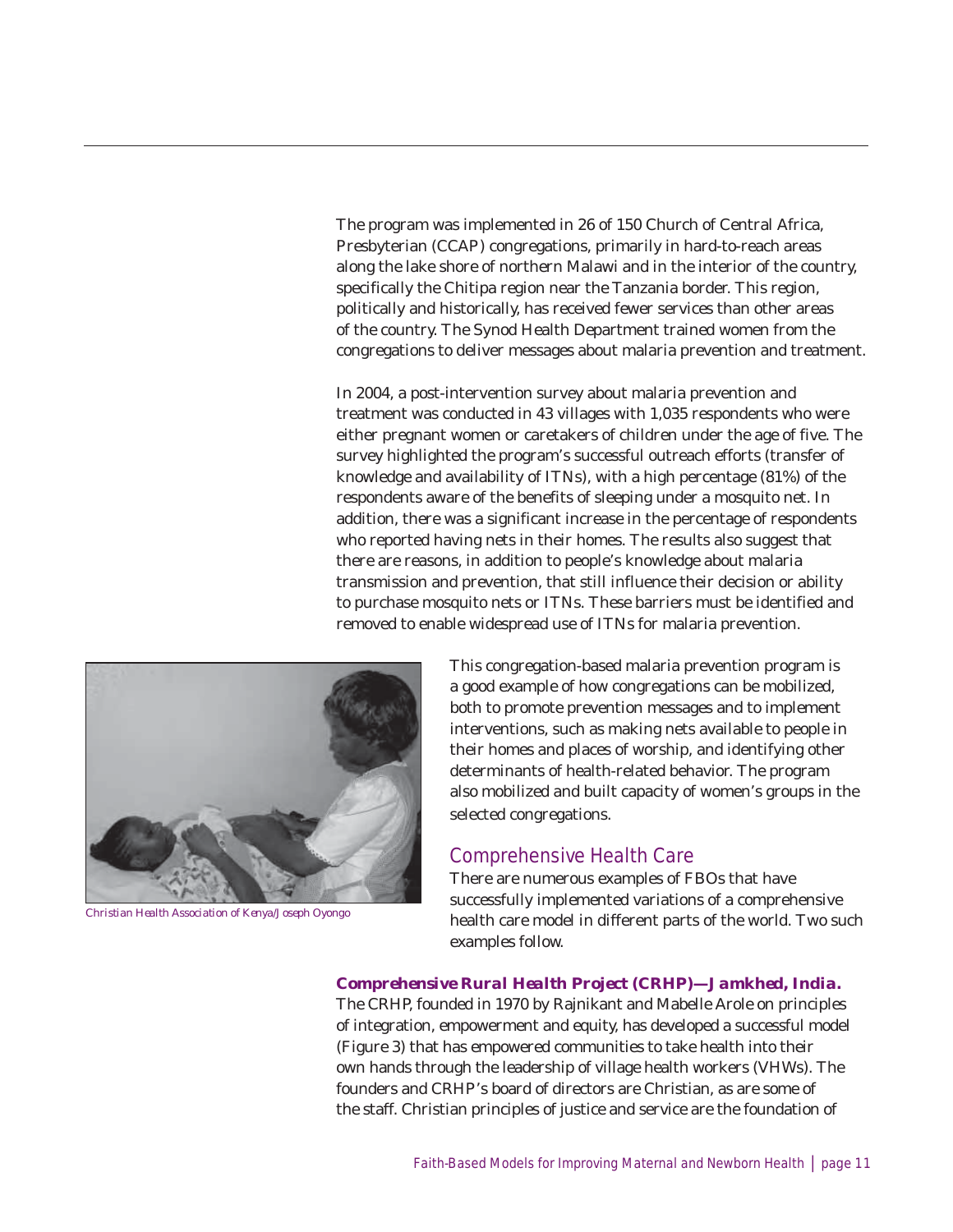The program was implemented in 26 of 150 Church of Central Africa, Presbyterian (CCAP) congregations, primarily in hard-to-reach areas along the lake shore of northern Malawi and in the interior of the country, specifically the Chitipa region near the Tanzania border. This region, politically and historically, has received fewer services than other areas of the country. The Synod Health Department trained women from the congregations to deliver messages about malaria prevention and treatment.

In 2004, a post-intervention survey about malaria prevention and treatment was conducted in 43 villages with 1,035 respondents who were either pregnant women or caretakers of children under the age of five. The survey highlighted the program's successful outreach efforts (transfer of knowledge and availability of ITNs), with a high percentage (81%) of the respondents aware of the benefits of sleeping under a mosquito net. In addition, there was a significant increase in the percentage of respondents who reported having nets in their homes. The results also suggest that there are reasons, in addition to people's knowledge about malaria transmission and prevention, that still influence their decision or ability to purchase mosquito nets or ITNs. These barriers must be identified and removed to enable widespread use of ITNs for malaria prevention.



*Christian Health Association of Kenya/Joseph Oyongo*

This congregation-based malaria prevention program is a good example of how congregations can be mobilized, both to promote prevention messages and to implement interventions, such as making nets available to people in their homes and places of worship, and identifying other determinants of health-related behavior. The program also mobilized and built capacity of women's groups in the selected congregations.

#### Comprehensive Health Care

There are numerous examples of FBOs that have successfully implemented variations of a comprehensive health care model in different parts of the world. Two such examples follow.

#### *Comprehensive Rural Health Project (CRHP)—Jamkhed, India.*

The CRHP, founded in 1970 by Rajnikant and Mabelle Arole on principles of integration, empowerment and equity, has developed a successful model (Figure 3) that has empowered communities to take health into their own hands through the leadership of village health workers (VHWs). The founders and CRHP's board of directors are Christian, as are some of the staff. Christian principles of justice and service are the foundation of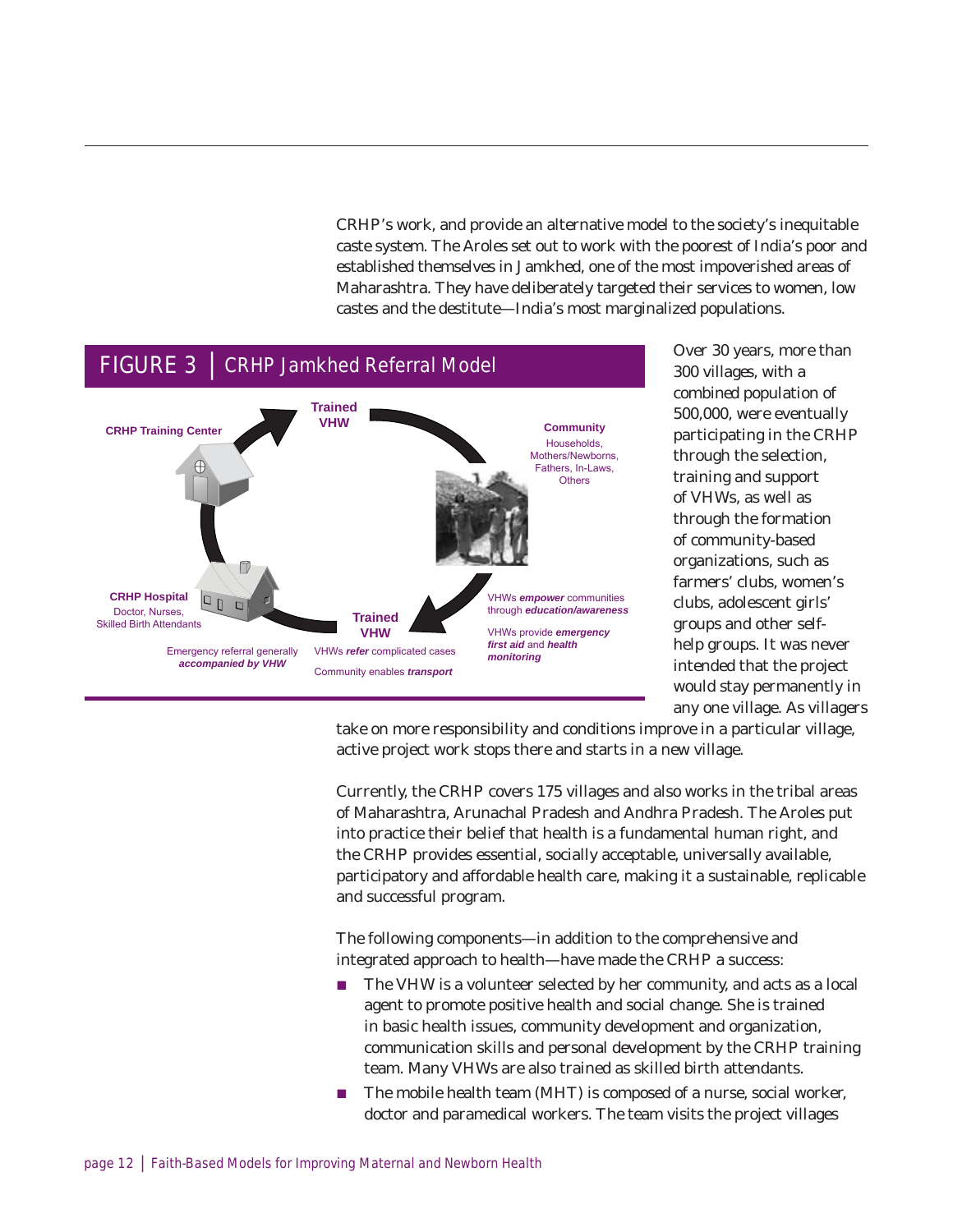CRHP's work, and provide an alternative model to the society's inequitable caste system. The Aroles set out to work with the poorest of India's poor and established themselves in Jamkhed, one of the most impoverished areas of Maharashtra. They have deliberately targeted their services to women, low castes and the destitute—India's most marginalized populations.



Over 30 years, more than 300 villages, with a combined population of 500,000, were eventually participating in the CRHP through the selection, training and support of VHWs, as well as through the formation of community-based organizations, such as farmers' clubs, women's clubs, adolescent girls' groups and other selfhelp groups. It was never intended that the project would stay permanently in any one village. As villagers

take on more responsibility and conditions improve in a particular village, active project work stops there and starts in a new village.

Currently, the CRHP covers 175 villages and also works in the tribal areas of Maharashtra, Arunachal Pradesh and Andhra Pradesh. The Aroles put into practice their belief that health is a fundamental human right, and the CRHP provides essential, socially acceptable, universally available, participatory and affordable health care, making it a sustainable, replicable and successful program.

The following components—in addition to the comprehensive and integrated approach to health—have made the CRHP a success:

- The VHW is a volunteer selected by her community, and acts as a local agent to promote positive health and social change. She is trained in basic health issues, community development and organization, communication skills and personal development by the CRHP training team. Many VHWs are also trained as skilled birth attendants.
- $\blacksquare$  The mobile health team (MHT) is composed of a nurse, social worker, doctor and paramedical workers. The team visits the project villages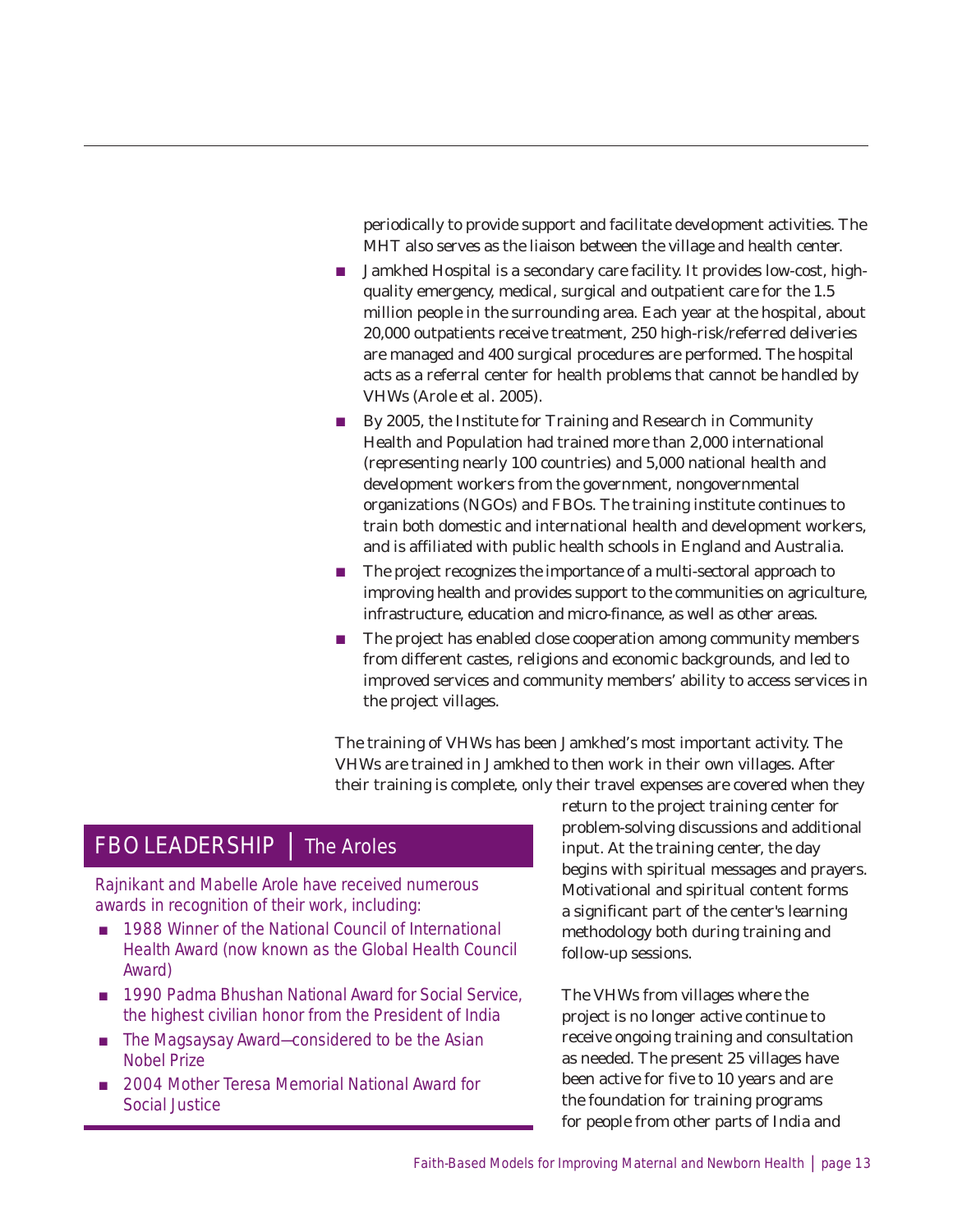periodically to provide support and facilitate development activities. The MHT also serves as the liaison between the village and health center.

- **Jamkhed Hospital is a secondary care facility. It provides low-cost, high**quality emergency, medical, surgical and outpatient care for the 1.5 million people in the surrounding area. Each year at the hospital, about 20,000 outpatients receive treatment, 250 high-risk/referred deliveries are managed and 400 surgical procedures are performed. The hospital acts as a referral center for health problems that cannot be handled by VHWs (Arole et al. 2005).
- $\blacksquare$  By 2005, the Institute for Training and Research in Community Health and Population had trained more than 2,000 international (representing nearly 100 countries) and 5,000 national health and development workers from the government, nongovernmental organizations (NGOs) and FBOs. The training institute continues to train both domestic and international health and development workers, and is affiliated with public health schools in England and Australia.
- $\blacksquare$  The project recognizes the importance of a multi-sectoral approach to improving health and provides support to the communities on agriculture, infrastructure, education and micro-finance, as well as other areas.
- The project has enabled close cooperation among community members from different castes, religions and economic backgrounds, and led to improved services and community members' ability to access services in the project villages.

The training of VHWs has been Jamkhed's most important activity. The VHWs are trained in Jamkhed to then work in their own villages. After their training is complete, only their travel expenses are covered when they

### FBO LEADERSHIP | The Aroles

Rajnikant and Mabelle Arole have received numerous awards in recognition of their work, including:

- 1988 Winner of the National Council of International Health Award (now known as the Global Health Council Award)
- 1990 Padma Bhushan National Award for Social Service, the highest civilian honor from the President of India
- $\blacksquare$  The Magsaysay Award—considered to be the Asian Nobel Prize
- 2004 Mother Teresa Memorial National Award for Social Justice

return to the project training center for problem-solving discussions and additional input. At the training center, the day begins with spiritual messages and prayers. Motivational and spiritual content forms a significant part of the center's learning methodology both during training and follow-up sessions.

The VHWs from villages where the project is no longer active continue to receive ongoing training and consultation as needed. The present 25 villages have been active for five to 10 years and are the foundation for training programs for people from other parts of India and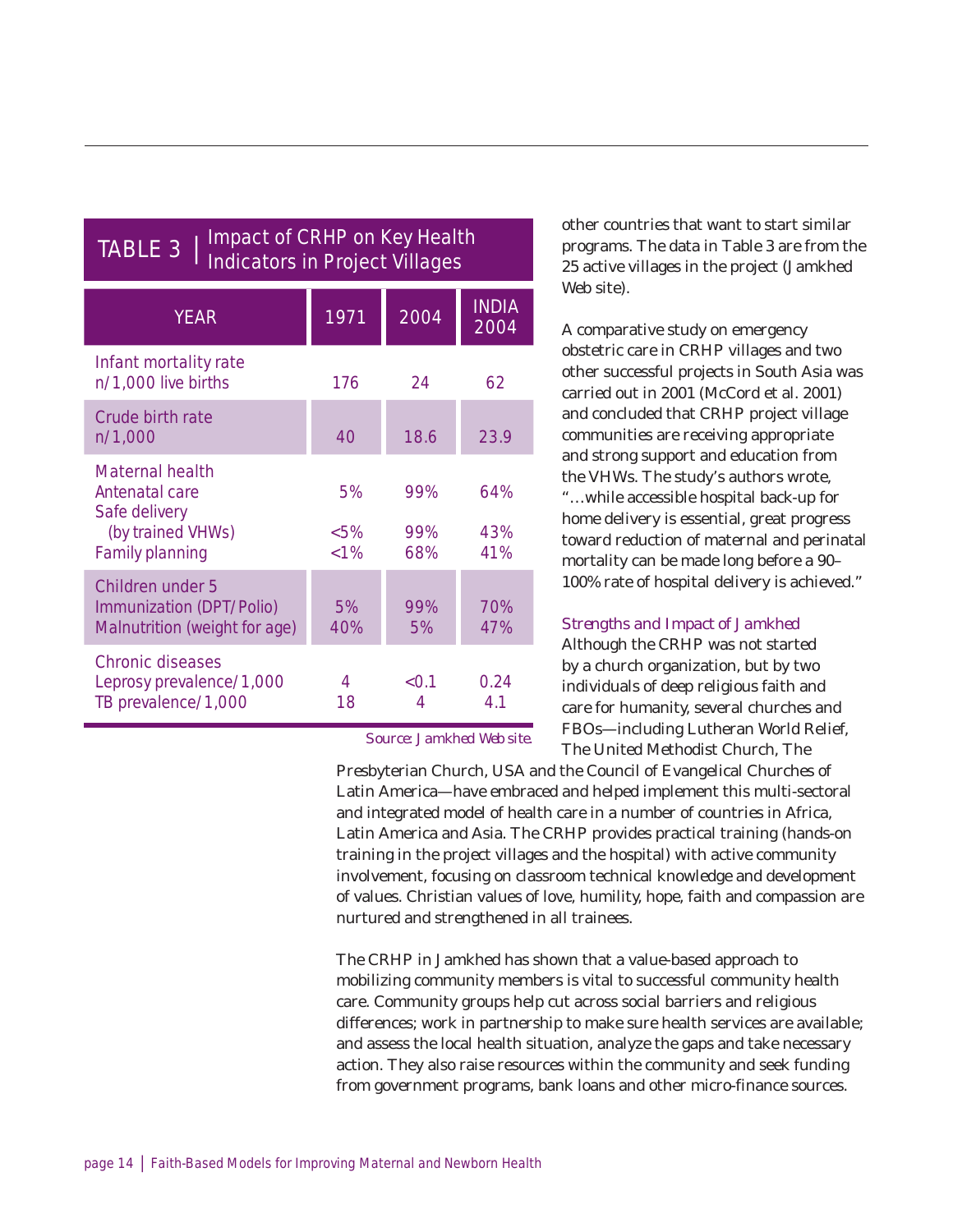| <b>TABLE 3</b><br><b>Impact of OKING ON KCY Health</b><br><b>Indicators in Project Villages</b>          |                         |                   |                      |  |
|----------------------------------------------------------------------------------------------------------|-------------------------|-------------------|----------------------|--|
| <b>YEAR</b>                                                                                              | 1971                    | 2004              | <b>INDIA</b><br>2004 |  |
| Infant mortality rate<br>n/1,000 live births                                                             | 176                     | 24                | 62                   |  |
| <b>Crude birth rate</b><br>n/1,000                                                                       | 40                      | 18.6              | 23.9                 |  |
| <b>Maternal health</b><br>Antenatal care<br>Safe delivery<br>(by trained VHWs)<br><b>Family planning</b> | 5%<br>$<5\%$<br>$< 1\%$ | 99%<br>99%<br>68% | 64%<br>43%<br>41%    |  |
| <b>Children under 5</b><br>Immunization (DPT/Polio)<br>Malnutrition (weight for age)                     | 5%<br>40%               | 99%<br>5%         | 70%<br>47%           |  |
| <b>Chronic diseases</b><br>Leprosy prevalence/1,000<br>TB prevalence/1,000                               | 4<br>18                 | < 0.1<br>4        | 0.24<br>4.1          |  |

Impact of CDHD on Key Health

#### *Source: Jamkhed Web site.*

other countries that want to start similar programs. The data in Table 3 are from the 25 active villages in the project (Jamkhed Web site).

A comparative study on emergency obstetric care in CRHP villages and two other successful projects in South Asia was carried out in 2001 (McCord et al. 2001) and concluded that CRHP project village communities are receiving appropriate and strong support and education from the VHWs. The study's authors wrote, "…while accessible hospital back-up for home delivery is essential, great progress toward reduction of maternal and perinatal mortality can be made long before a 90– 100% rate of hospital delivery is achieved."

#### *Strengths and Impact of Jamkhed*

Although the CRHP was not started by a church organization, but by two individuals of deep religious faith and care for humanity, several churches and FBOs—including Lutheran World Relief, The United Methodist Church, The

Presbyterian Church, USA and the Council of Evangelical Churches of Latin America—have embraced and helped implement this multi-sectoral and integrated model of health care in a number of countries in Africa, Latin America and Asia. The CRHP provides practical training (hands-on training in the project villages and the hospital) with active community involvement, focusing on classroom technical knowledge and development of values. Christian values of love, humility, hope, faith and compassion are nurtured and strengthened in all trainees.

The CRHP in Jamkhed has shown that a value-based approach to mobilizing community members is vital to successful community health care. Community groups help cut across social barriers and religious differences; work in partnership to make sure health services are available; and assess the local health situation, analyze the gaps and take necessary action. They also raise resources within the community and seek funding from government programs, bank loans and other micro-finance sources.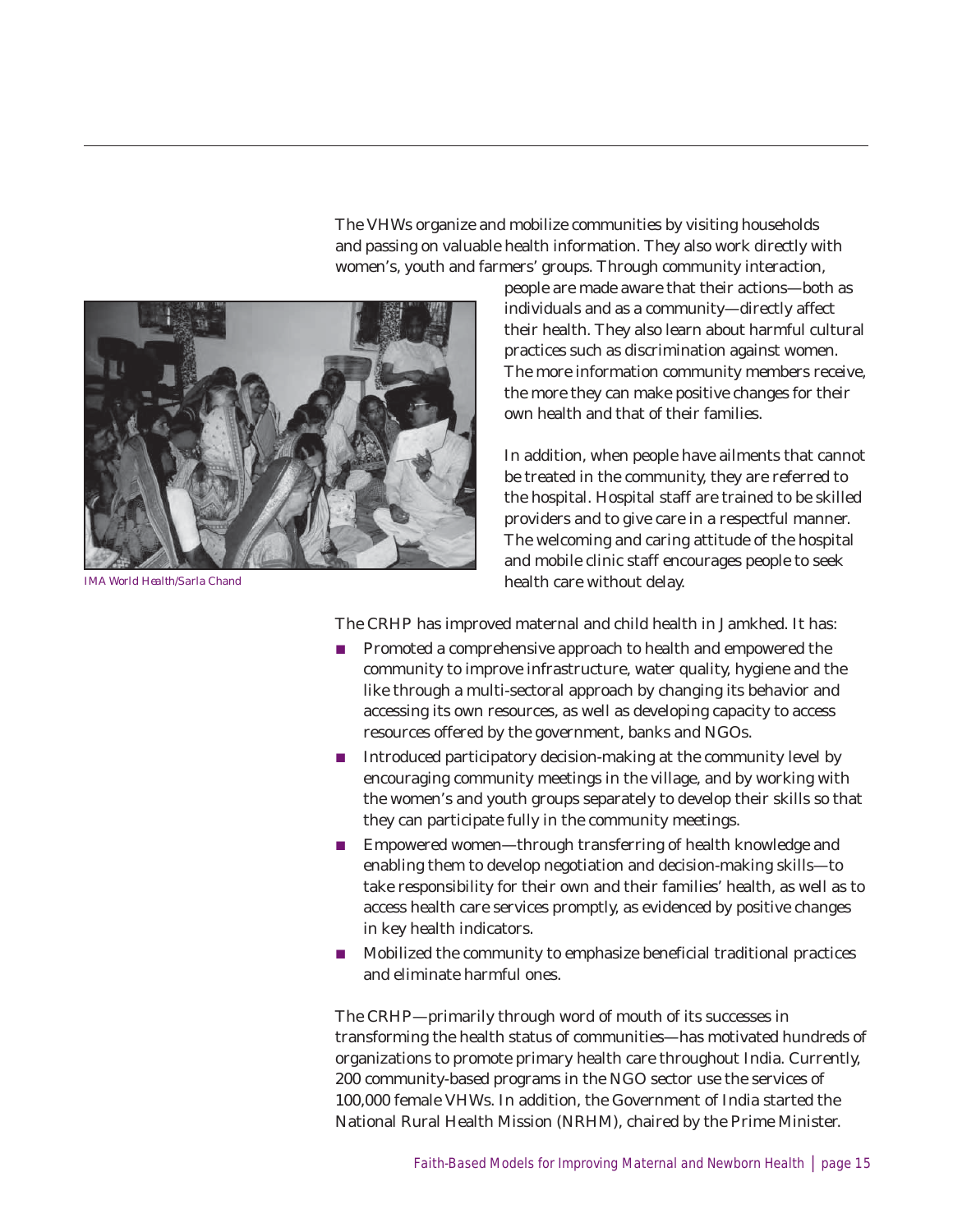The VHWs organize and mobilize communities by visiting households and passing on valuable health information. They also work directly with women's, youth and farmers' groups. Through community interaction,



*IMA World Health/Sarla Chand*

people are made aware that their actions—both as individuals and as a community—directly affect their health. They also learn about harmful cultural practices such as discrimination against women. The more information community members receive, the more they can make positive changes for their own health and that of their families.

In addition, when people have ailments that cannot be treated in the community, they are referred to the hospital. Hospital staff are trained to be skilled providers and to give care in a respectful manner. The welcoming and caring attitude of the hospital and mobile clinic staff encourages people to seek health care without delay.

The CRHP has improved maternal and child health in Jamkhed. It has:

- $\blacksquare$  Promoted a comprehensive approach to health and empowered the community to improve infrastructure, water quality, hygiene and the like through a multi-sectoral approach by changing its behavior and accessing its own resources, as well as developing capacity to access resources offered by the government, banks and NGOs.
- $\blacksquare$  Introduced participatory decision-making at the community level by encouraging community meetings in the village, and by working with the women's and youth groups separately to develop their skills so that they can participate fully in the community meetings.
- Empowered women—through transferring of health knowledge and enabling them to develop negotiation and decision-making skills—to take responsibility for their own and their families' health, as well as to access health care services promptly, as evidenced by positive changes in key health indicators.
- Mobilized the community to emphasize beneficial traditional practices and eliminate harmful ones.

The CRHP—primarily through word of mouth of its successes in transforming the health status of communities—has motivated hundreds of organizations to promote primary health care throughout India. Currently, 200 community-based programs in the NGO sector use the services of 100,000 female VHWs. In addition, the Government of India started the National Rural Health Mission (NRHM), chaired by the Prime Minister.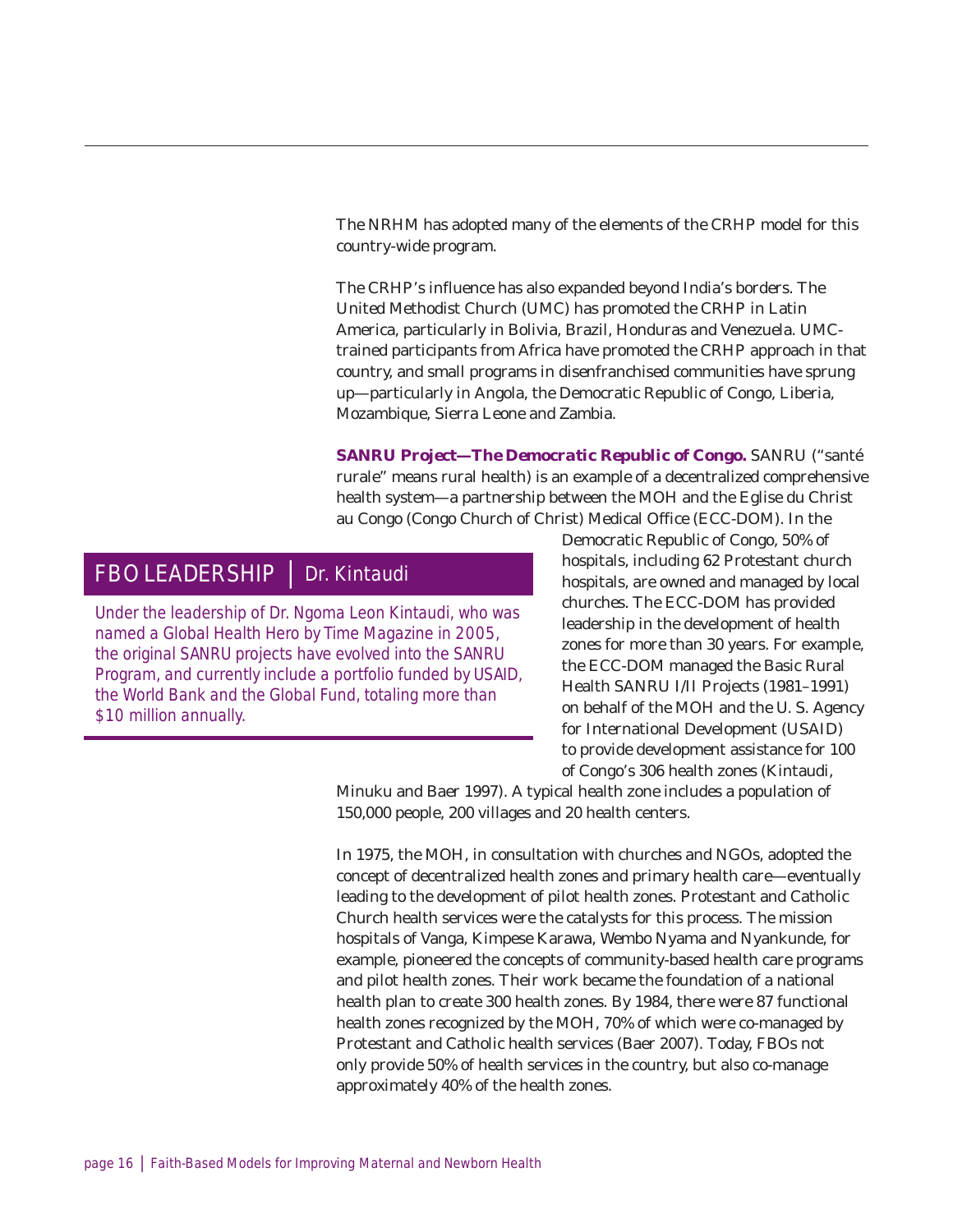The NRHM has adopted many of the elements of the CRHP model for this country-wide program.

The CRHP's influence has also expanded beyond India's borders. The United Methodist Church (UMC) has promoted the CRHP in Latin America, particularly in Bolivia, Brazil, Honduras and Venezuela. UMCtrained participants from Africa have promoted the CRHP approach in that country, and small programs in disenfranchised communities have sprung up—particularly in Angola, the Democratic Republic of Congo, Liberia, Mozambique, Sierra Leone and Zambia.

**SANRU Project—The Democratic Republic of Congo.** SANRU ("santé rurale" means rural health) is an example of a decentralized comprehensive health system—a partnership between the MOH and the Eglise du Christ au Congo (Congo Church of Christ) Medical Office (ECC-DOM). In the

### FBO LEADERSHIP | Dr. Kintaudi

Under the leadership of Dr. Ngoma Leon Kintaudi, who was named a Global Health Hero by *Time Magazine* in 2005, the original SANRU projects have evolved into the SANRU Program, and currently include a portfolio funded by USAID, the World Bank and the Global Fund, totaling more than \$10 million annually.

Democratic Republic of Congo, 50% of hospitals, including 62 Protestant church hospitals, are owned and managed by local churches. The ECC-DOM has provided leadership in the development of health zones for more than 30 years. For example, the ECC-DOM managed the Basic Rural Health SANRU I/II Projects (1981–1991) on behalf of the MOH and the U. S. Agency for International Development (USAID) to provide development assistance for 100 of Congo's 306 health zones (Kintaudi,

Minuku and Baer 1997). A typical health zone includes a population of 150,000 people, 200 villages and 20 health centers.

In 1975, the MOH, in consultation with churches and NGOs, adopted the concept of decentralized health zones and primary health care—eventually leading to the development of pilot health zones. Protestant and Catholic Church health services were the catalysts for this process. The mission hospitals of Vanga, Kimpese Karawa, Wembo Nyama and Nyankunde, for example, pioneered the concepts of community-based health care programs and pilot health zones. Their work became the foundation of a national health plan to create 300 health zones. By 1984, there were 87 functional health zones recognized by the MOH, 70% of which were co-managed by Protestant and Catholic health services (Baer 2007). Today, FBOs not only provide 50% of health services in the country, but also co-manage approximately 40% of the health zones.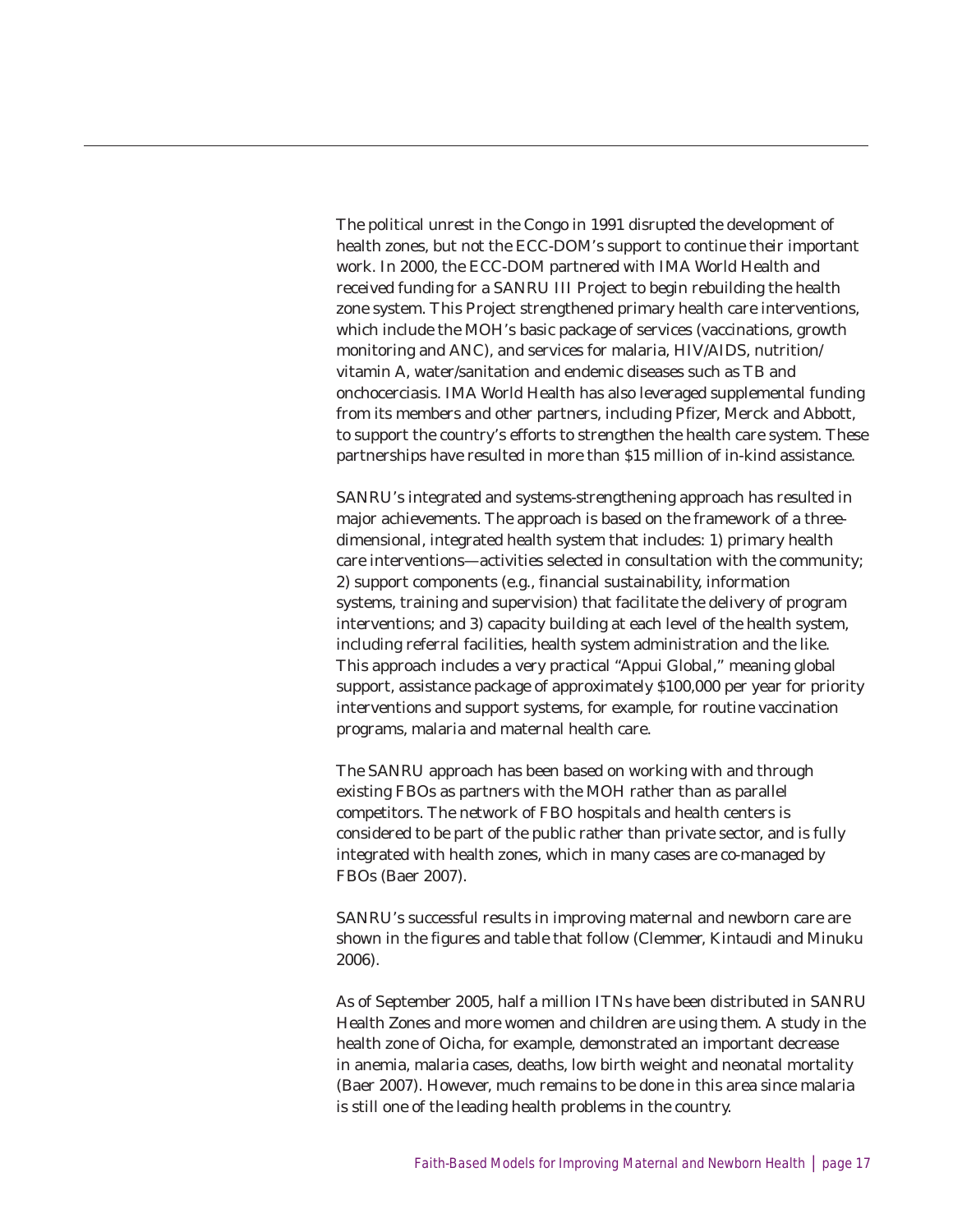The political unrest in the Congo in 1991 disrupted the development of health zones, but not the ECC-DOM's support to continue their important work. In 2000, the ECC-DOM partnered with IMA World Health and received funding for a SANRU III Project to begin rebuilding the health zone system. This Project strengthened primary health care interventions, which include the MOH's basic package of services (vaccinations, growth monitoring and ANC), and services for malaria, HIV/AIDS, nutrition/ vitamin A, water/sanitation and endemic diseases such as TB and onchocerciasis. IMA World Health has also leveraged supplemental funding from its members and other partners, including Pfizer, Merck and Abbott, to support the country's efforts to strengthen the health care system. These partnerships have resulted in more than \$15 million of in-kind assistance.

SANRU's integrated and systems-strengthening approach has resulted in major achievements. The approach is based on the framework of a threedimensional, integrated health system that includes: 1) primary health care interventions—activities selected in consultation with the community; 2) support components (e.g., financial sustainability, information systems, training and supervision) that facilitate the delivery of program interventions; and 3) capacity building at each level of the health system, including referral facilities, health system administration and the like. This approach includes a very practical "Appui Global," meaning global support, assistance package of approximately \$100,000 per year for priority interventions and support systems, for example, for routine vaccination programs, malaria and maternal health care.

The SANRU approach has been based on working with and through existing FBOs as partners with the MOH rather than as parallel competitors. The network of FBO hospitals and health centers is considered to be part of the public rather than private sector, and is fully integrated with health zones, which in many cases are co-managed by FBOs (Baer 2007).

SANRU's successful results in improving maternal and newborn care are shown in the figures and table that follow (Clemmer, Kintaudi and Minuku 2006).

As of September 2005, half a million ITNs have been distributed in SANRU Health Zones and more women and children are using them. A study in the health zone of Oicha, for example, demonstrated an important decrease in anemia, malaria cases, deaths, low birth weight and neonatal mortality (Baer 2007). However, much remains to be done in this area since malaria is still one of the leading health problems in the country.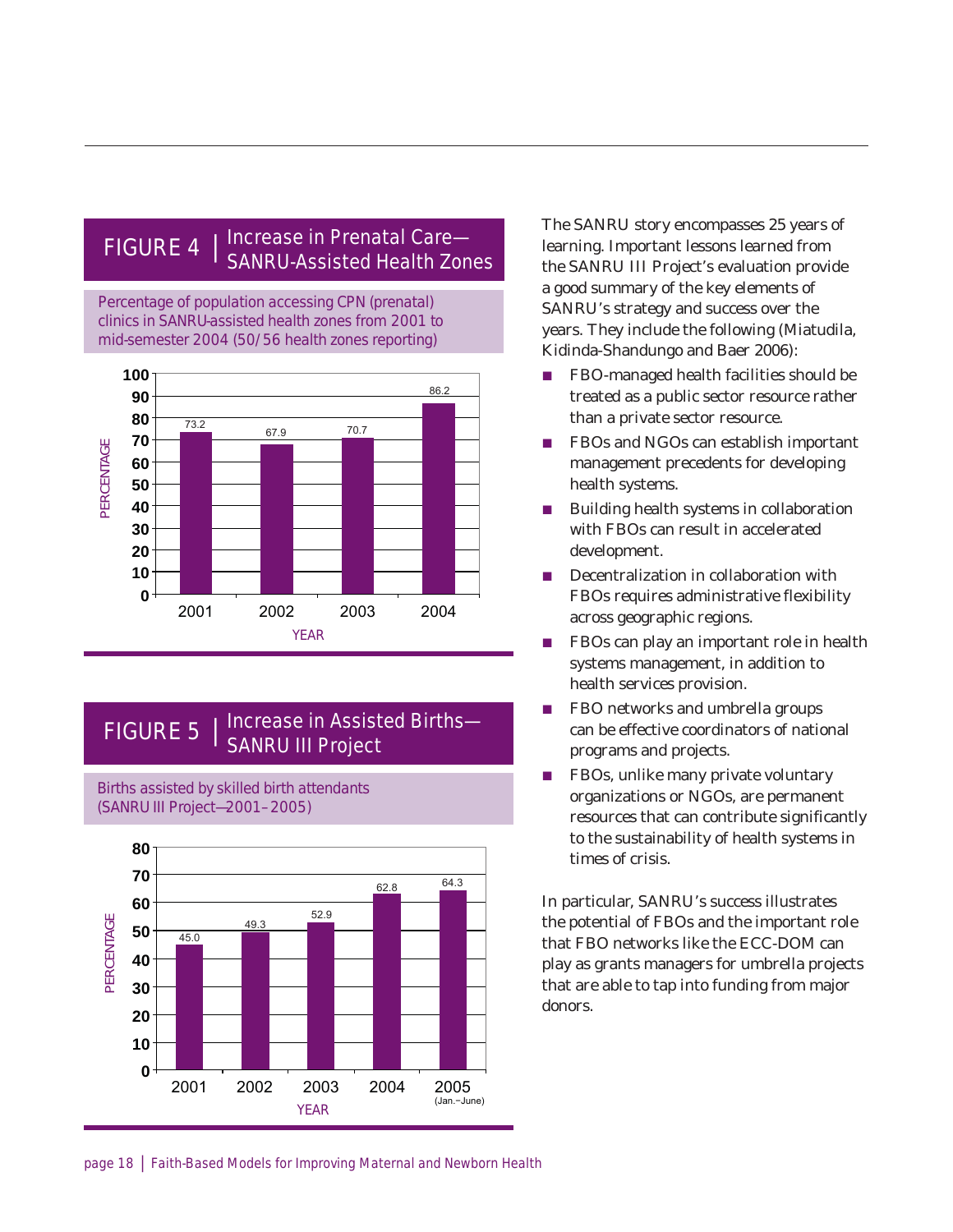### FIGURE 4  $\parallel$  Increase in Prenatal Care– SANRU-Assisted Health Zones

Percentage of population accessing CPN (prenatal) clinics in SANRU-assisted health zones from 2001 to mid-semester 2004 (50/56 health zones reporting)



### FIGURE 5 | Increase in Assisted Births-SANRU III Project

Births assisted by skilled birth attendants (SANRU III Project—2001–2005)



The SANRU story encompasses 25 years of learning. Important lessons learned from the SANRU III Project's evaluation provide a good summary of the key elements of SANRU's strategy and success over the years. They include the following (Miatudila, Kidinda-Shandungo and Baer 2006):

- FBO-managed health facilities should be treated as a public sector resource rather than a private sector resource.
- $\blacksquare$  FBOs and NGOs can establish important management precedents for developing health systems.
- Building health systems in collaboration with FBOs can result in accelerated development.
- $\blacksquare$  Decentralization in collaboration with FBOs requires administrative flexibility across geographic regions.
- $\blacksquare$  FBOs can play an important role in health systems management, in addition to health services provision.
- $\blacksquare$  FBO networks and umbrella groups can be effective coordinators of national programs and projects.
- $\blacksquare$  FBOs, unlike many private voluntary organizations or NGOs, are permanent resources that can contribute significantly to the sustainability of health systems in times of crisis.

In particular, SANRU's success illustrates the potential of FBOs and the important role that FBO networks like the ECC-DOM can play as grants managers for umbrella projects that are able to tap into funding from major donors.

page 18 | Faith-Based Models for Improving Maternal and Newborn Health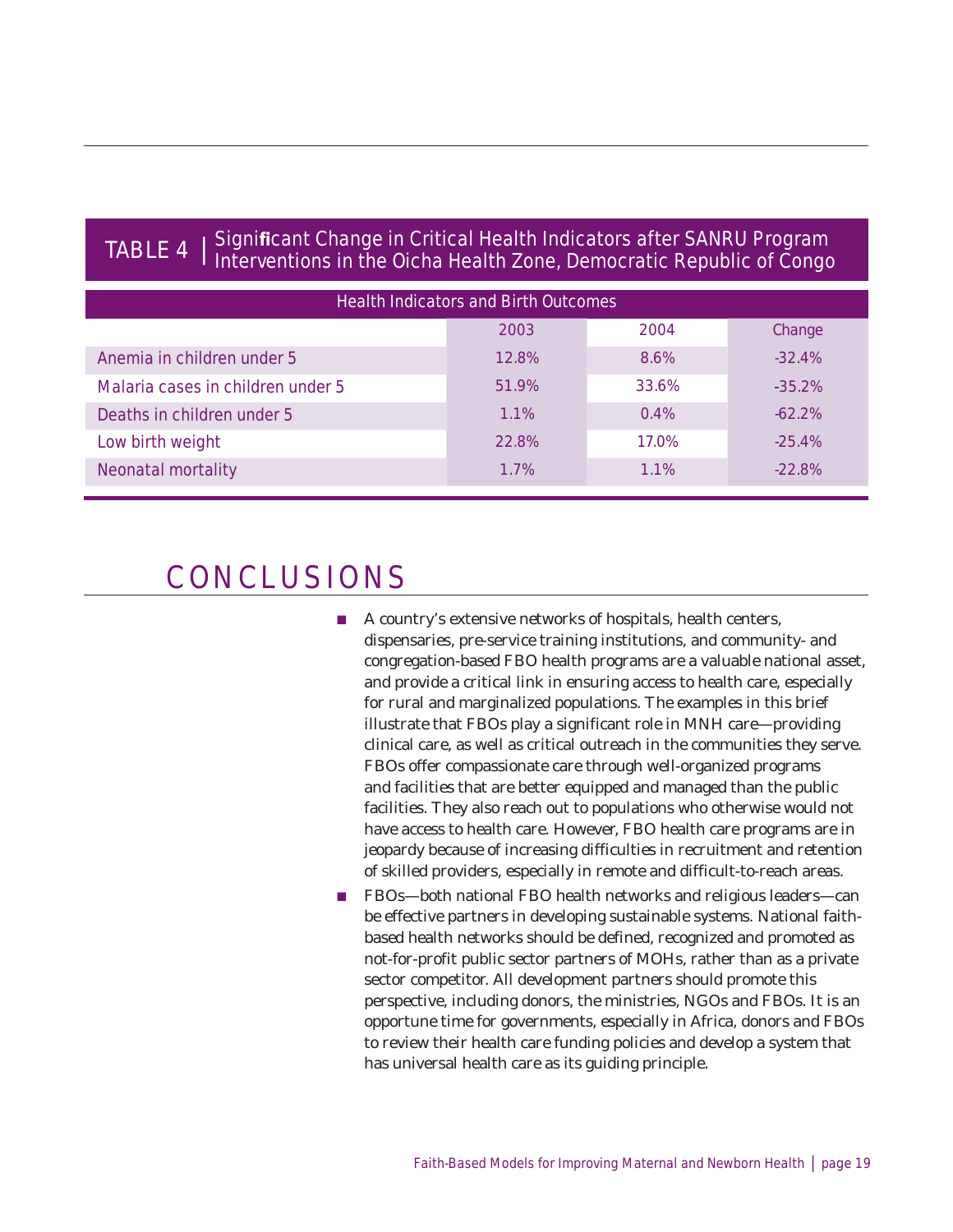### TABLE 4 | Significant Change in Critical Health Indicators after SANRU Program Interventions in the Oicha Health Zone, Democratic Republic of Congo

| <b>Health Indicators and Birth Outcomes</b> |       |         |          |  |  |
|---------------------------------------------|-------|---------|----------|--|--|
|                                             | 2003  | 2004    | Change   |  |  |
| Anemia in children under 5                  | 12.8% | 8.6%    | $-32.4%$ |  |  |
| Malaria cases in children under 5           | 51.9% | 33.6%   | $-35.2%$ |  |  |
| Deaths in children under 5                  | 1.1%  | 0.4%    | $-62.2%$ |  |  |
| Low birth weight                            | 22.8% | 17.0%   | $-25.4%$ |  |  |
| <b>Neonatal mortality</b>                   | 1.7%  | $1.1\%$ | $-22.8%$ |  |  |

## CONCLUSIONS

- A country's extensive networks of hospitals, health centers, dispensaries, pre-service training institutions, and community- and congregation-based FBO health programs are a valuable national asset, and provide a critical link in ensuring access to health care, especially for rural and marginalized populations. The examples in this brief illustrate that FBOs play a significant role in MNH care—providing clinical care, as well as critical outreach in the communities they serve. FBOs offer compassionate care through well-organized programs and facilities that are better equipped and managed than the public facilities. They also reach out to populations who otherwise would not have access to health care. However, FBO health care programs are in jeopardy because of increasing difficulties in recruitment and retention of skilled providers, especially in remote and difficult-to-reach areas.
- FBOs—both national FBO health networks and religious leaders—can be effective partners in developing sustainable systems. National faithbased health networks should be defined, recognized and promoted as not-for-profit public sector partners of MOHs, rather than as a private sector competitor. All development partners should promote this perspective, including donors, the ministries, NGOs and FBOs. It is an opportune time for governments, especially in Africa, donors and FBOs to review their health care funding policies and develop a system that has universal health care as its guiding principle.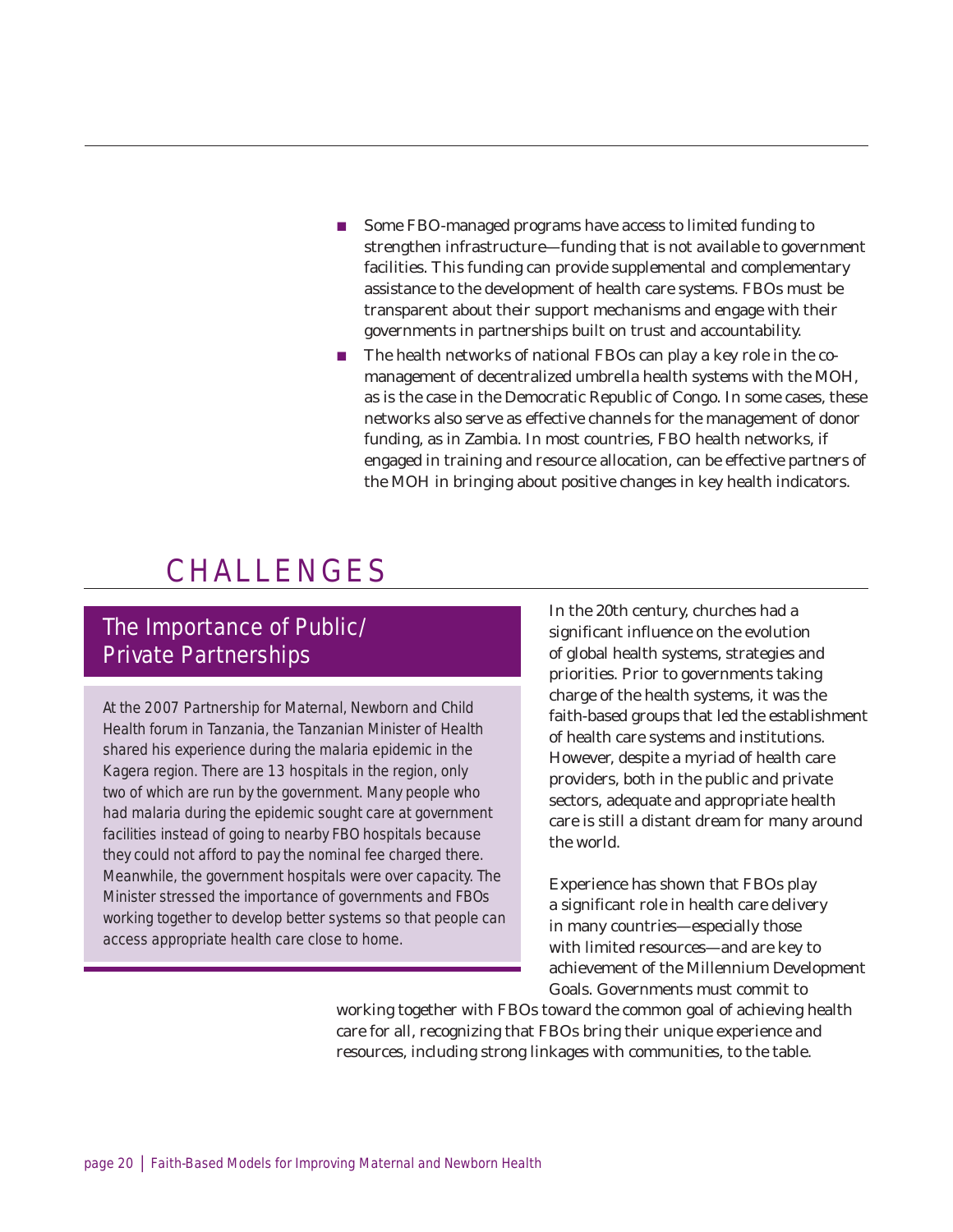- Some FBO-managed programs have access to limited funding to strengthen infrastructure—funding that is not available to government facilities. This funding can provide supplemental and complementary assistance to the development of health care systems. FBOs must be transparent about their support mechanisms and engage with their governments in partnerships built on trust and accountability.
- $\blacksquare$  The health networks of national FBOs can play a key role in the comanagement of decentralized umbrella health systems with the MOH, as is the case in the Democratic Republic of Congo. In some cases, these networks also serve as effective channels for the management of donor funding, as in Zambia. In most countries, FBO health networks, if engaged in training and resource allocation, can be effective partners of the MOH in bringing about positive changes in key health indicators.

## CHALLENGES

### The Importance of Public/ Private Partnerships

At the 2007 Partnership for Maternal, Newborn and Child Health forum in Tanzania, the Tanzanian Minister of Health shared his experience during the malaria epidemic in the Kagera region. There are 13 hospitals in the region, only two of which are run by the government. Many people who had malaria during the epidemic sought care at government facilities instead of going to nearby FBO hospitals because they could not afford to pay the nominal fee charged there. Meanwhile, the government hospitals were over capacity. The Minister stressed the importance of governments and FBOs working together to develop better systems so that people can access appropriate health care close to home.

In the 20th century, churches had a significant influence on the evolution of global health systems, strategies and priorities. Prior to governments taking charge of the health systems, it was the faith-based groups that led the establishment of health care systems and institutions. However, despite a myriad of health care providers, both in the public and private sectors, adequate and appropriate health care is still a distant dream for many around the world.

Experience has shown that FBOs play a significant role in health care delivery in many countries—especially those with limited resources—and are key to achievement of the Millennium Development Goals. Governments must commit to

working together with FBOs toward the common goal of achieving health care for all, recognizing that FBOs bring their unique experience and resources, including strong linkages with communities, to the table.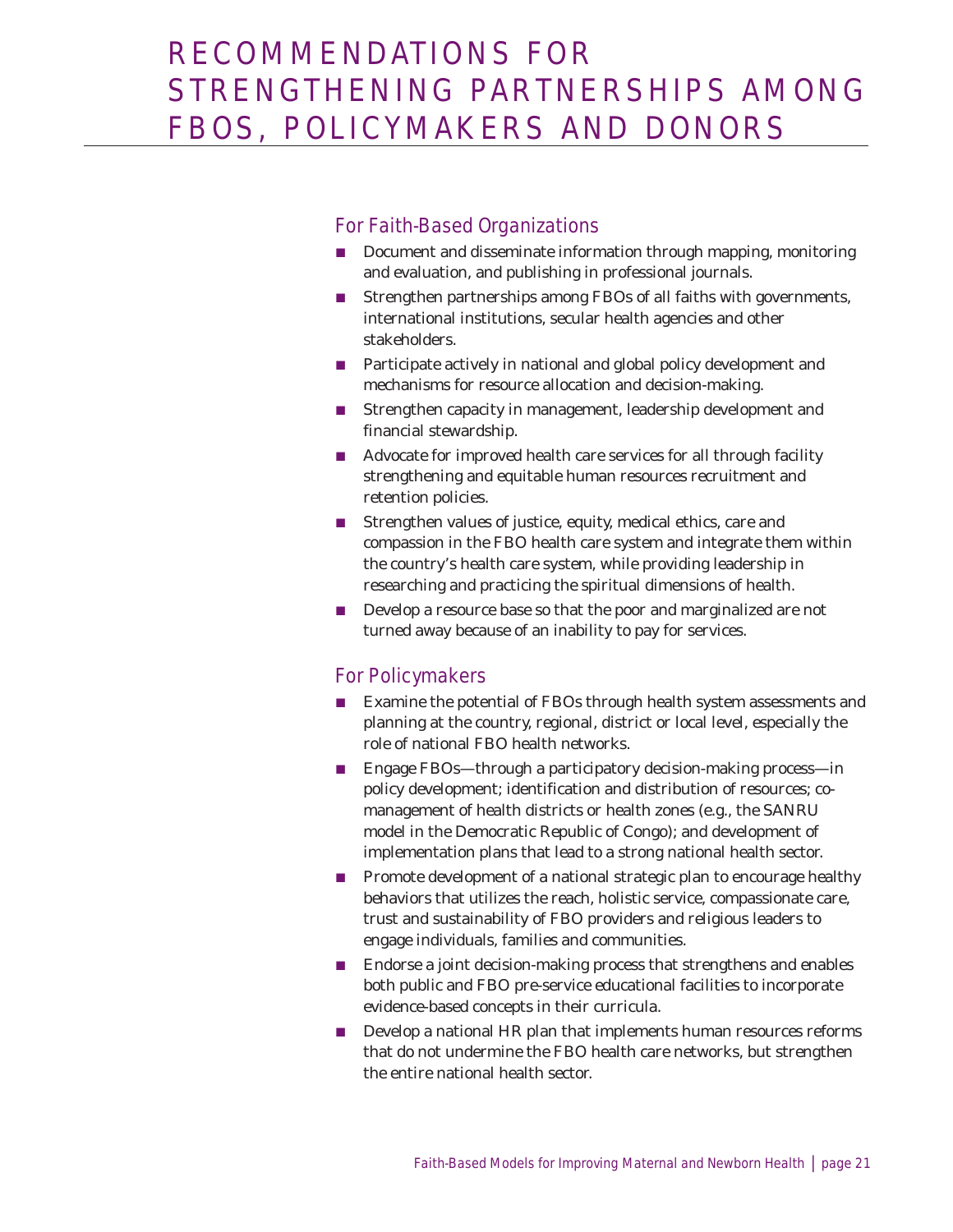### For Faith-Based Organizations

- Document and disseminate information through mapping, monitoring and evaluation, and publishing in professional journals.
- Strengthen partnerships among FBOs of all faiths with governments, international institutions, secular health agencies and other stakeholders.
- $\blacksquare$  Participate actively in national and global policy development and mechanisms for resource allocation and decision-making.
- Strengthen capacity in management, leadership development and financial stewardship.
- $\blacksquare$  Advocate for improved health care services for all through facility strengthening and equitable human resources recruitment and retention policies.
- $\blacksquare$  Strengthen values of justice, equity, medical ethics, care and compassion in the FBO health care system and integrate them within the country's health care system, while providing leadership in researching and practicing the spiritual dimensions of health.
- $\blacksquare$  Develop a resource base so that the poor and marginalized are not turned away because of an inability to pay for services.

#### For Policymakers

- Examine the potential of FBOs through health system assessments and planning at the country, regional, district or local level, especially the role of national FBO health networks.
- **Engage FBOs—through a participatory decision-making process—in** policy development; identification and distribution of resources; comanagement of health districts or health zones (e.g., the SANRU model in the Democratic Republic of Congo); and development of implementation plans that lead to a strong national health sector.
- **Promote development of a national strategic plan to encourage healthy** behaviors that utilizes the reach, holistic service, compassionate care, trust and sustainability of FBO providers and religious leaders to engage individuals, families and communities.
- $\blacksquare$  Endorse a joint decision-making process that strengthens and enables both public and FBO pre-service educational facilities to incorporate evidence-based concepts in their curricula.
- $\blacksquare$  Develop a national HR plan that implements human resources reforms that do not undermine the FBO health care networks, but strengthen the entire national health sector.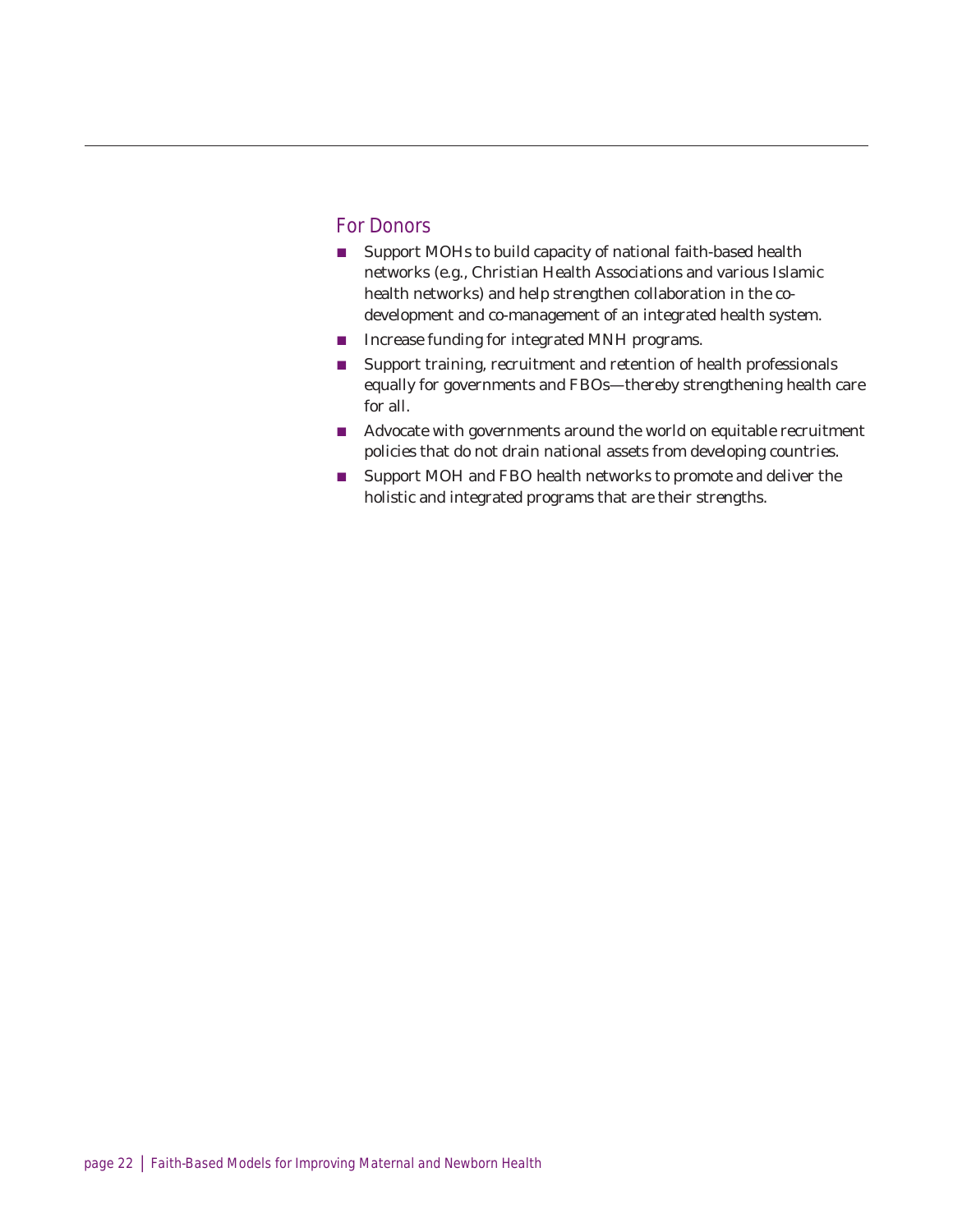#### For Donors

- Support MOHs to build capacity of national faith-based health networks (e.g., Christian Health Associations and various Islamic health networks) and help strengthen collaboration in the codevelopment and co-management of an integrated health system.
- **n** Increase funding for integrated MNH programs.
- $\blacksquare$  Support training, recruitment and retention of health professionals equally for governments and FBOs—thereby strengthening health care for all.
- Advocate with governments around the world on equitable recruitment policies that do not drain national assets from developing countries.
- Support MOH and FBO health networks to promote and deliver the holistic and integrated programs that are their strengths.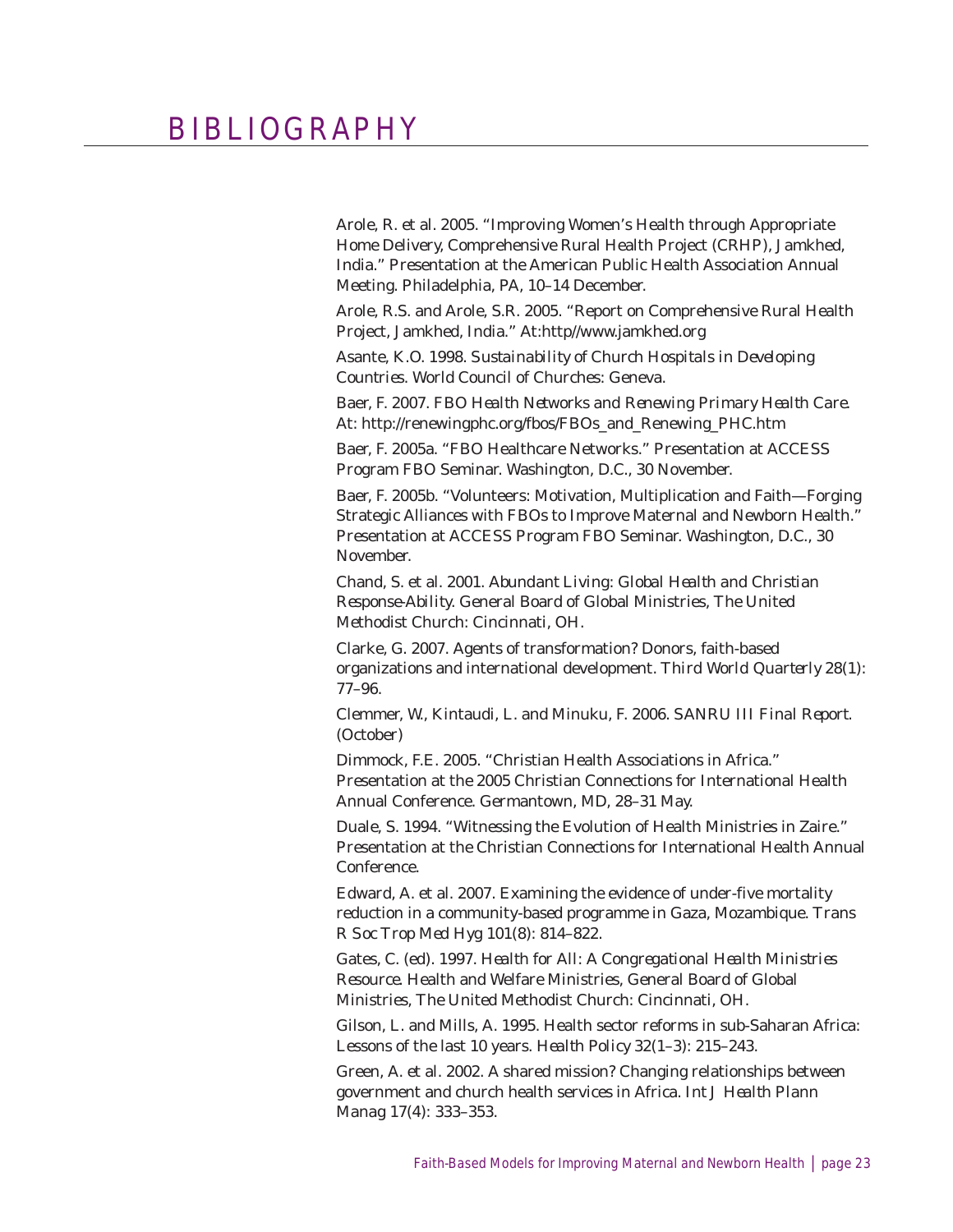## BIBLIOGRAPHY

Arole, R. et al. 2005. "Improving Women's Health through Appropriate Home Delivery, Comprehensive Rural Health Project (CRHP), Jamkhed, India." Presentation at the American Public Health Association Annual Meeting. Philadelphia, PA, 10–14 December.

Arole, R.S. and Arole, S.R. 2005. "Report on Comprehensive Rural Health Project, Jamkhed, India." At:http//www.jamkhed.org

Asante, K.O. 1998. *Sustainability of Church Hospitals in Developing Countries.* World Council of Churches: Geneva.

Baer, F. 2007. *FBO Health Networks and Renewing Primary Health Care.* At: http://renewingphc.org/fbos/FBOs\_and\_Renewing\_PHC.htm

Baer, F. 2005a. "FBO Healthcare Networks." Presentation at ACCESS Program FBO Seminar. Washington, D.C., 30 November.

Baer, F. 2005b. "Volunteers: Motivation, Multiplication and Faith—Forging Strategic Alliances with FBOs to Improve Maternal and Newborn Health." Presentation at ACCESS Program FBO Seminar. Washington, D.C., 30 November.

Chand, S. et al. 2001. *Abundant Living: Global Health and Christian Response-Ability.* General Board of Global Ministries, The United Methodist Church: Cincinnati, OH.

Clarke, G. 2007. Agents of transformation? Donors, faith-based organizations and international development. *Third World Quarterly* 28(1): 77–96.

Clemmer, W., Kintaudi, L. and Minuku, F. 2006. *SANRU III Final Report.* (October)

Dimmock, F.E. 2005. "Christian Health Associations in Africa." Presentation at the 2005 Christian Connections for International Health Annual Conference. Germantown, MD, 28–31 May.

Duale, S. 1994. "Witnessing the Evolution of Health Ministries in Zaire." Presentation at the Christian Connections for International Health Annual Conference.

Edward, A. et al. 2007. Examining the evidence of under-five mortality reduction in a community-based programme in Gaza, Mozambique. *Trans R Soc Trop Med Hyg* 101(8): 814–822.

Gates, C. (ed). 1997. *Health for All: A Congregational Health Ministries Resource.* Health and Welfare Ministries, General Board of Global Ministries, The United Methodist Church: Cincinnati, OH.

Gilson, L. and Mills, A. 1995. Health sector reforms in sub-Saharan Africa: Lessons of the last 10 years. *Health Policy* 32(1–3): 215–243.

Green, A. et al. 2002. A shared mission? Changing relationships between government and church health services in Africa. *Int J Health Plann Manag* 17(4): 333–353.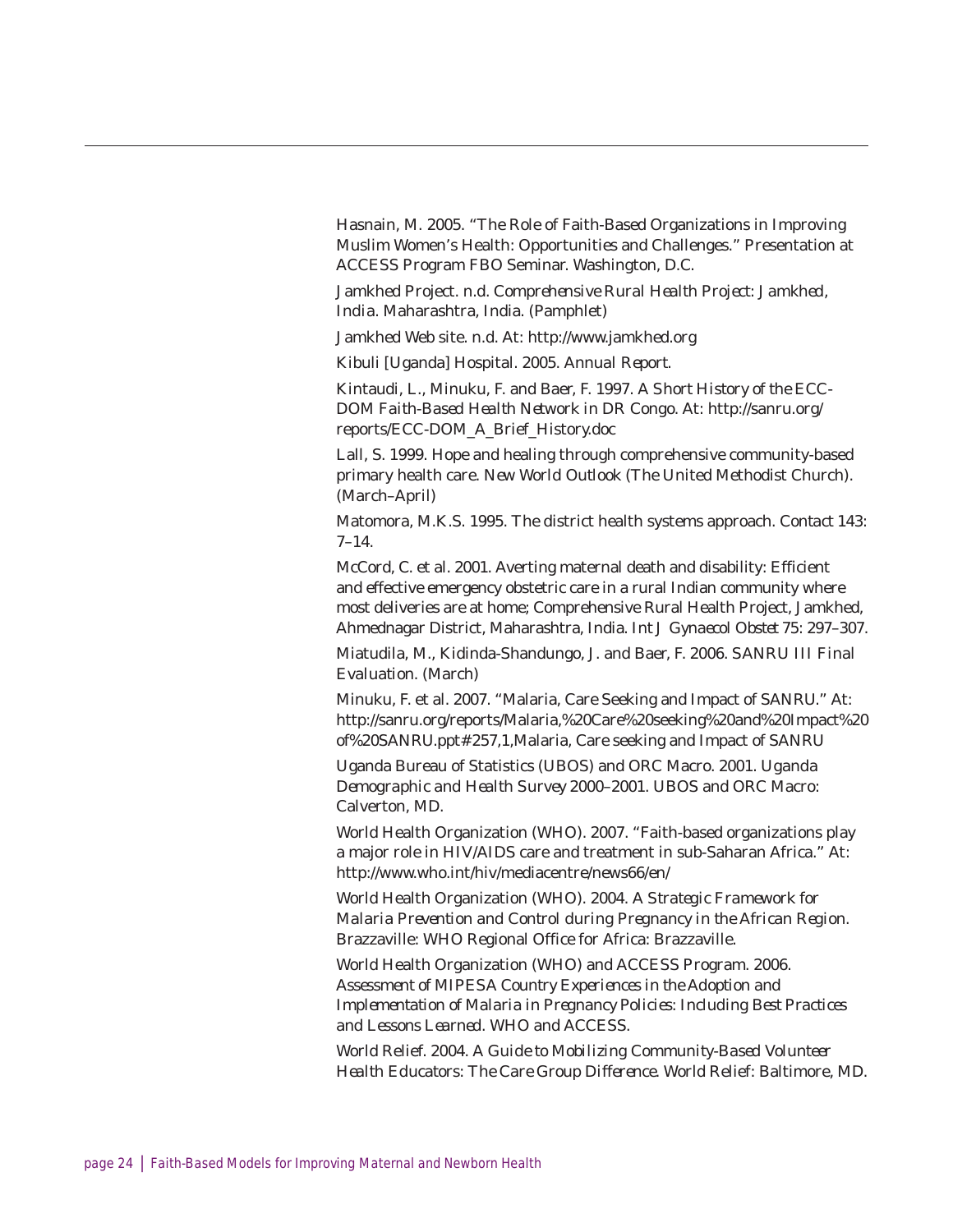Hasnain, M. 2005. "The Role of Faith-Based Organizations in Improving Muslim Women's Health: Opportunities and Challenges." Presentation at ACCESS Program FBO Seminar. Washington, D.C.

Jamkhed Project. n.d. *Comprehensive Rural Health Project: Jamkhed, India*. Maharashtra, India. (Pamphlet)

Jamkhed Web site. n.d. At: http://www.jamkhed.org

Kibuli [Uganda] Hospital. 2005. *Annual Report.*

Kintaudi, L., Minuku, F. and Baer, F. 1997. *A Short History of the ECC-DOM Faith-Based Health Network in DR Congo.* At: http://sanru.org/ reports/ECC-DOM\_A\_Brief\_History.doc

Lall, S. 1999. Hope and healing through comprehensive community-based primary health care. *New World Outlook* (The United Methodist Church). (March–April)

Matomora, M.K.S. 1995. The district health systems approach. *Contact* 143: 7–14.

McCord, C. et al. 2001. Averting maternal death and disability: Efficient and effective emergency obstetric care in a rural Indian community where most deliveries are at home; Comprehensive Rural Health Project, Jamkhed, Ahmednagar District, Maharashtra, India. *Int J Gynaecol Obstet* 75: 297–307.

Miatudila, M., Kidinda-Shandungo, J. and Baer, F. 2006. *SANRU III Final Evaluation*. (March)

Minuku, F. et al. 2007. "Malaria, Care Seeking and Impact of SANRU." At: http://sanru.org/reports/Malaria,%20Care%20seeking%20and%20Impact%20 of%20SANRU.ppt#257,1,Malaria, Care seeking and Impact of SANRU

Uganda Bureau of Statistics (UBOS) and ORC Macro. 2001. *Uganda Demographic and Health Survey 2000–2001.* UBOS and ORC Macro: Calverton, MD.

World Health Organization (WHO). 2007. "Faith-based organizations play a major role in HIV/AIDS care and treatment in sub-Saharan Africa." At: http://www.who.int/hiv/mediacentre/news66/en/

World Health Organization (WHO). 2004. *A Strategic Framework for Malaria Prevention and Control during Pregnancy in the African Region*. Brazzaville: WHO Regional Office for Africa: Brazzaville.

World Health Organization (WHO) and ACCESS Program. 2006. *Assessment of MIPESA Country Experiences in the Adoption and Implementation of Malaria in Pregnancy Policies: Including Best Practices and Lessons Learned*. WHO and ACCESS.

World Relief. 2004. *A Guide to Mobilizing Community-Based Volunteer Health Educators: The Care Group Difference*. World Relief: Baltimore, MD.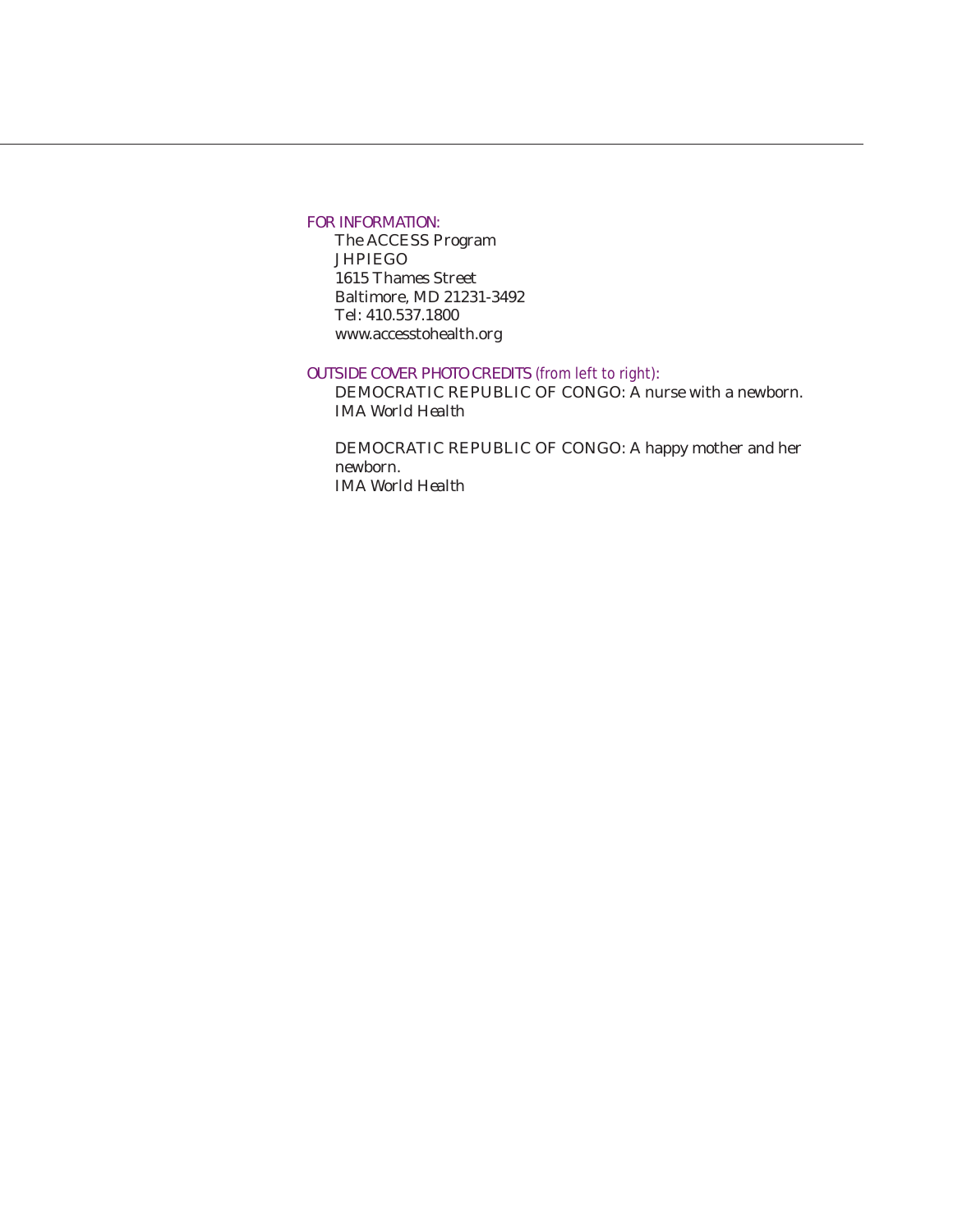#### FOR INFORMATION:

The ACCESS Program **JHPIEGO** 1615 Thames Street Baltimore, MD 21231-3492 Tel: 410.537.1800 www.accesstohealth.org

#### OUTSIDE COVER PHOTO CREDITS *(from left to right)*:

DEMOCRATIC REPUBLIC OF CONGO: A nurse with a newborn. *IMA World Health*

DEMOCRATIC REPUBLIC OF CONGO: A happy mother and her newborn. *IMA World Health*